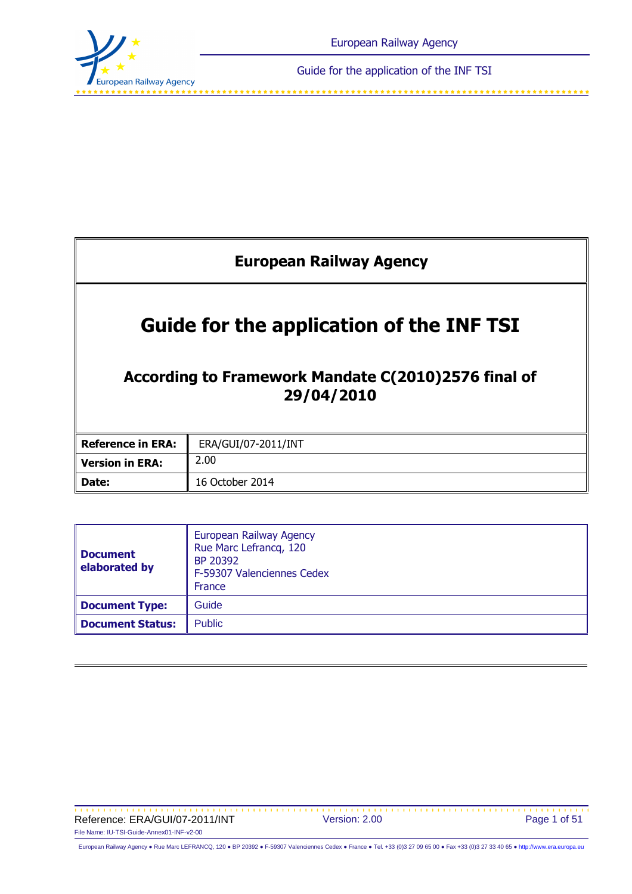

فالمتمالك لمتناقب لمتناقب لمتناقب لمتناقب

| <b>European Railway Agency</b>                                                                                       |                     |  |  |  |
|----------------------------------------------------------------------------------------------------------------------|---------------------|--|--|--|
| <b>Guide for the application of the INF TSI</b><br>According to Framework Mandate C(2010)2576 final of<br>29/04/2010 |                     |  |  |  |
| <b>Reference in ERA:</b>                                                                                             | ERA/GUI/07-2011/INT |  |  |  |
| <b>Version in ERA:</b>                                                                                               | 2.00                |  |  |  |
| Date:                                                                                                                | 16 October 2014     |  |  |  |

| <b>Document</b><br>elaborated by | European Railway Agency<br>Rue Marc Lefrancq, 120<br>BP 20392<br>F-59307 Valenciennes Cedex<br>France |  |
|----------------------------------|-------------------------------------------------------------------------------------------------------|--|
| Document Type:                   | Guide                                                                                                 |  |
| <b>Document Status:</b>          | <b>Public</b>                                                                                         |  |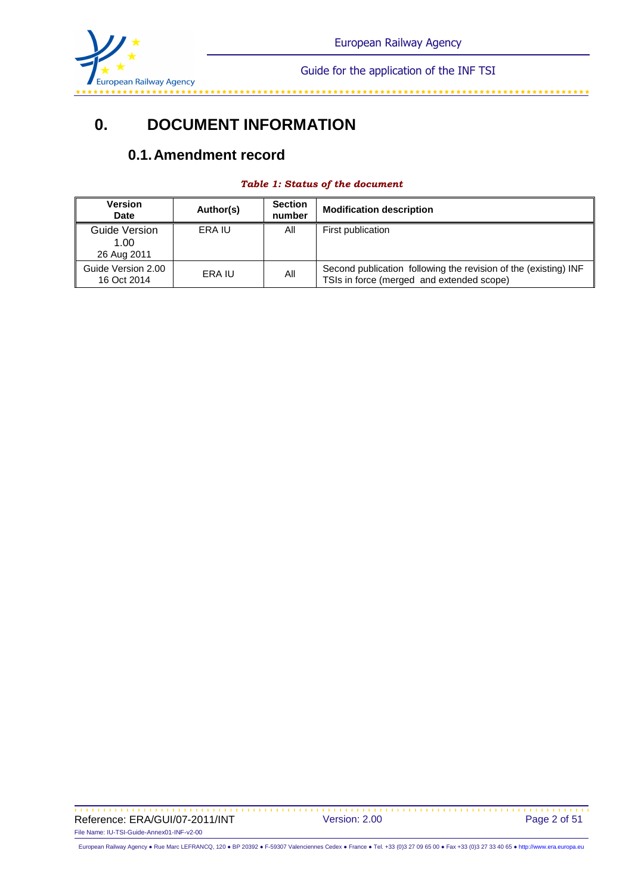

# **0. DOCUMENT INFORMATION**

# **0.1. Amendment record**

| <b>Version</b><br>Date               | Author(s) | <b>Section</b><br>number | <b>Modification description</b>                                                                              |
|--------------------------------------|-----------|--------------------------|--------------------------------------------------------------------------------------------------------------|
| Guide Version<br>1.00<br>26 Aug 2011 | ERA IU    | All                      | First publication                                                                                            |
| Guide Version 2.00<br>16 Oct 2014    | ERA IU    | All                      | Second publication following the revision of the (existing) INF<br>TSIs in force (merged and extended scope) |

#### *Table 1: Status of the document*

Reference: ERA/GUI/07-2011/INT Version: 2.00 Page 2 of 51 File Name: IU-TSI-Guide-Annex01-INF-v2-00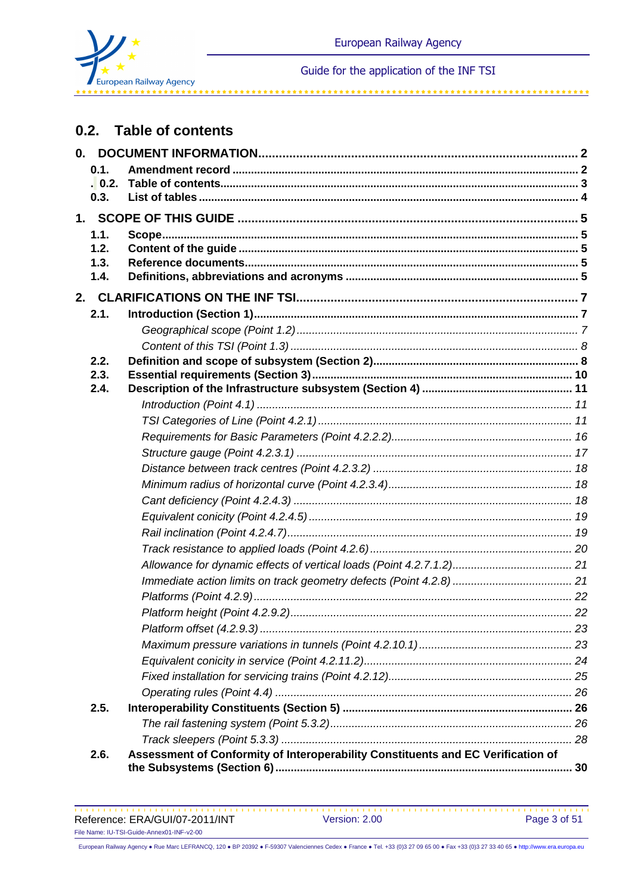

المواقف المواقف المواقف المواقف المواقف المواقف المواقف المواقف المواقف المواقف

#### **Table of contents**  $0.2.$

| 0.1.   |                                                                                  |  |
|--------|----------------------------------------------------------------------------------|--|
| . 0.2. |                                                                                  |  |
| 0.3.   |                                                                                  |  |
|        |                                                                                  |  |
| 1.1.   |                                                                                  |  |
| 1.2.   |                                                                                  |  |
| 1.3.   |                                                                                  |  |
| 1.4.   |                                                                                  |  |
|        |                                                                                  |  |
| 2.1.   |                                                                                  |  |
|        |                                                                                  |  |
|        |                                                                                  |  |
| 2.2.   |                                                                                  |  |
| 2.3.   |                                                                                  |  |
| 2.4.   |                                                                                  |  |
|        |                                                                                  |  |
|        |                                                                                  |  |
|        |                                                                                  |  |
|        |                                                                                  |  |
|        |                                                                                  |  |
|        |                                                                                  |  |
|        |                                                                                  |  |
|        |                                                                                  |  |
|        |                                                                                  |  |
|        |                                                                                  |  |
|        |                                                                                  |  |
|        |                                                                                  |  |
|        |                                                                                  |  |
|        |                                                                                  |  |
|        |                                                                                  |  |
|        |                                                                                  |  |
|        |                                                                                  |  |
|        |                                                                                  |  |
|        |                                                                                  |  |
| 2.5.   |                                                                                  |  |
|        |                                                                                  |  |
|        |                                                                                  |  |
| 2.6.   | Assessment of Conformity of Interoperability Constituents and EC Verification of |  |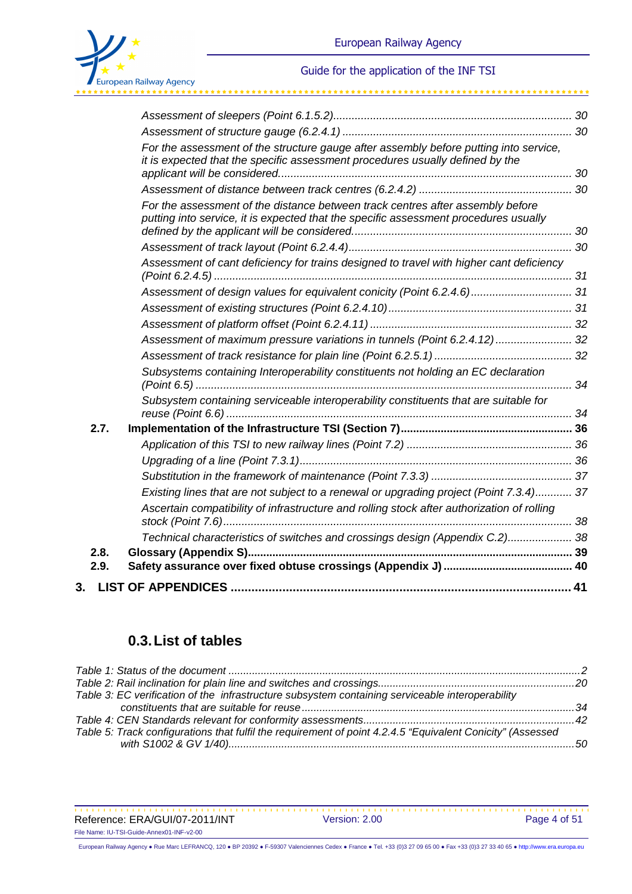

\*\*\*\*\*\*\*\*\*\*\*\*\*\*\*\*\*\*\*\*\*\*\*\*\*

|      | For the assessment of the structure gauge after assembly before putting into service,<br>it is expected that the specific assessment procedures usually defined by the |  |
|------|------------------------------------------------------------------------------------------------------------------------------------------------------------------------|--|
|      |                                                                                                                                                                        |  |
|      | For the assessment of the distance between track centres after assembly before<br>putting into service, it is expected that the specific assessment procedures usually |  |
|      |                                                                                                                                                                        |  |
|      | Assessment of cant deficiency for trains designed to travel with higher cant deficiency                                                                                |  |
|      |                                                                                                                                                                        |  |
|      |                                                                                                                                                                        |  |
|      |                                                                                                                                                                        |  |
|      | Assessment of maximum pressure variations in tunnels (Point 6.2.4.12) 32                                                                                               |  |
|      |                                                                                                                                                                        |  |
|      | Subsystems containing Interoperability constituents not holding an EC declaration                                                                                      |  |
|      | Subsystem containing serviceable interoperability constituents that are suitable for                                                                                   |  |
| 2.7. |                                                                                                                                                                        |  |
|      |                                                                                                                                                                        |  |
|      |                                                                                                                                                                        |  |
|      |                                                                                                                                                                        |  |
|      | Existing lines that are not subject to a renewal or upgrading project (Point 7.3.4) 37                                                                                 |  |
|      | Ascertain compatibility of infrastructure and rolling stock after authorization of rolling                                                                             |  |
|      | Technical characteristics of switches and crossings design (Appendix C.2) 38                                                                                           |  |
| 2.8. |                                                                                                                                                                        |  |
| 2.9. |                                                                                                                                                                        |  |
| 3.   |                                                                                                                                                                        |  |

# **0.3. List of tables**

| Table 3: EC verification of the infrastructure subsystem containing serviceable interoperability           |  |
|------------------------------------------------------------------------------------------------------------|--|
|                                                                                                            |  |
|                                                                                                            |  |
| Table 5: Track configurations that fulfil the requirement of point 4.2.4.5 "Equivalent Conicity" (Assessed |  |
|                                                                                                            |  |

Reference: ERA/GUI/07-2011/INT Version: 2.00 Page 4 of 51 File Name: IU-TSI-Guide-Annex01-INF-v2-00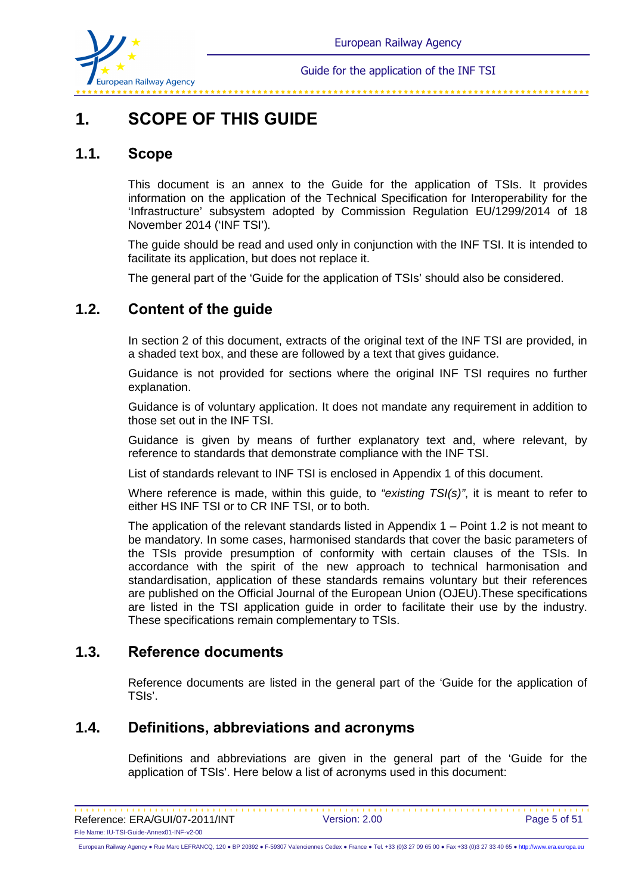

# **1. SCOPE OF THIS GUIDE**

# **1.1. Scope**

This document is an annex to the Guide for the application of TSIs. It provides information on the application of the Technical Specification for Interoperability for the 'Infrastructure' subsystem adopted by Commission Regulation EU/1299/2014 of 18 November 2014 ('INF TSI').

The guide should be read and used only in conjunction with the INF TSI. It is intended to facilitate its application, but does not replace it.

The general part of the 'Guide for the application of TSIs' should also be considered.

# **1.2. Content of the guide**

In section 2 of this document, extracts of the original text of the INF TSI are provided, in a shaded text box, and these are followed by a text that gives guidance.

Guidance is not provided for sections where the original INF TSI requires no further explanation.

Guidance is of voluntary application. It does not mandate any requirement in addition to those set out in the INF TSI.

Guidance is given by means of further explanatory text and, where relevant, by reference to standards that demonstrate compliance with the INF TSI.

List of standards relevant to INF TSI is enclosed in Appendix 1 of this document.

Where reference is made, within this guide, to "existing  $TSI(s)$ ", it is meant to refer to either HS INF TSI or to CR INF TSI, or to both.

The application of the relevant standards listed in Appendix 1 – Point 1.2 is not meant to be mandatory. In some cases, harmonised standards that cover the basic parameters of the TSIs provide presumption of conformity with certain clauses of the TSIs. In accordance with the spirit of the new approach to technical harmonisation and standardisation, application of these standards remains voluntary but their references are published on the Official Journal of the European Union (OJEU).These specifications are listed in the TSI application guide in order to facilitate their use by the industry. These specifications remain complementary to TSIs.

# **1.3. Reference documents**

Reference documents are listed in the general part of the 'Guide for the application of TSIs'.

## **1.4. Definitions, abbreviations and acronyms**

Definitions and abbreviations are given in the general part of the 'Guide for the application of TSIs'. Here below a list of acronyms used in this document: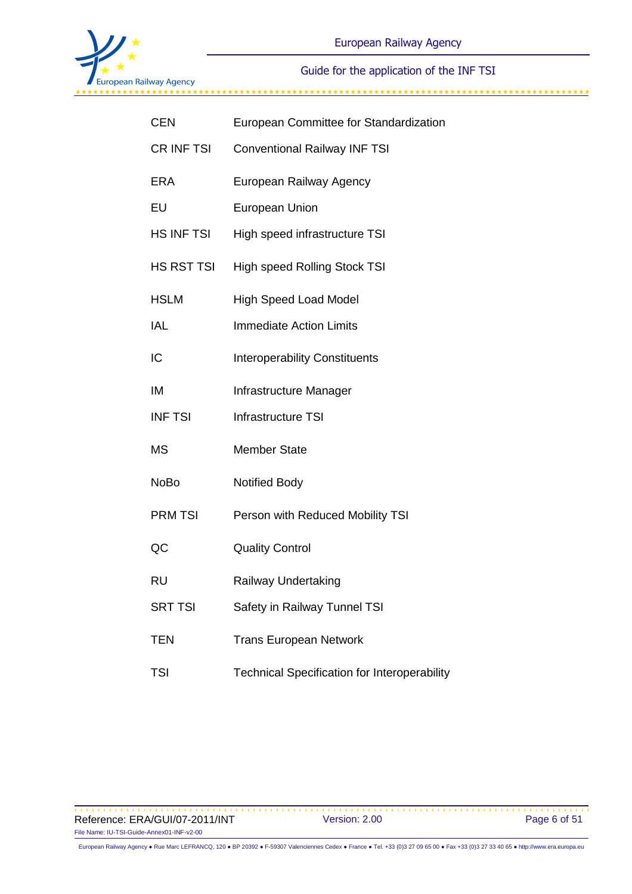

| <b>CEN</b>     | European Committee for Standardization              |  |  |
|----------------|-----------------------------------------------------|--|--|
| CR INF TSI     | <b>Conventional Railway INF TSI</b>                 |  |  |
| <b>ERA</b>     | European Railway Agency                             |  |  |
| EU             | <b>European Union</b>                               |  |  |
| HS INF TSI     | High speed infrastructure TSI                       |  |  |
| HS RST TSI     | <b>High speed Rolling Stock TSI</b>                 |  |  |
| <b>HSLM</b>    | <b>High Speed Load Model</b>                        |  |  |
| IAL            | <b>Immediate Action Limits</b>                      |  |  |
| IC             | <b>Interoperability Constituents</b>                |  |  |
| IM             | Infrastructure Manager                              |  |  |
| <b>INF TSI</b> | Infrastructure TSI                                  |  |  |
| <b>MS</b>      | <b>Member State</b>                                 |  |  |
| <b>NoBo</b>    | <b>Notified Body</b>                                |  |  |
| <b>PRM TSI</b> | Person with Reduced Mobility TSI                    |  |  |
| QC             | <b>Quality Control</b>                              |  |  |
| <b>RU</b>      | Railway Undertaking                                 |  |  |
| <b>SRT TSI</b> | Safety in Railway Tunnel TSI                        |  |  |
| <b>TEN</b>     | <b>Trans European Network</b>                       |  |  |
| <b>TSI</b>     | <b>Technical Specification for Interoperability</b> |  |  |

Reference: ERA/GUI/07-2011/INT Version: 2.00 Page 6 of 51 File Name: IU-TSI-Guide-Annex01-INF-v2-00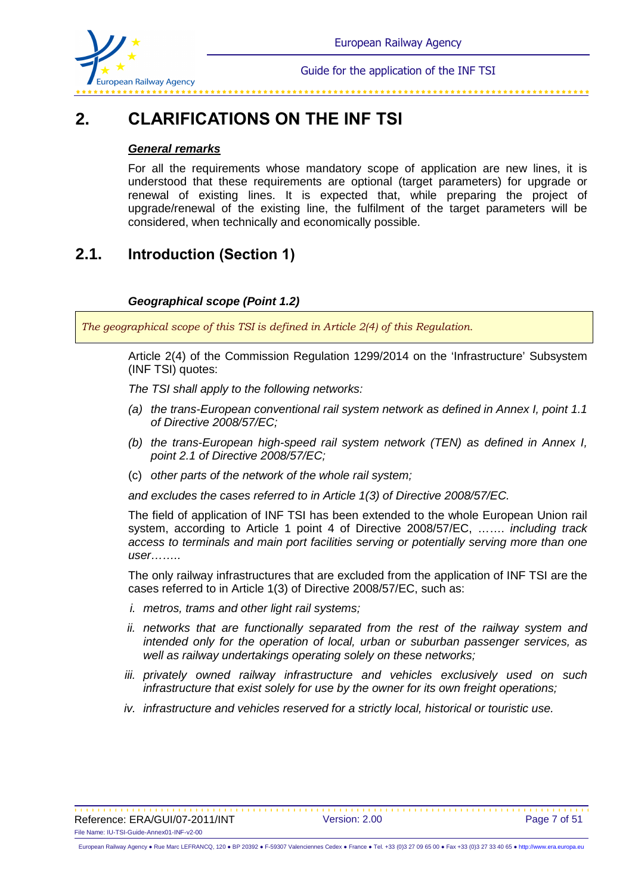

# **2. CLARIFICATIONS ON THE INF TSI**

#### **General remarks**

For all the requirements whose mandatory scope of application are new lines, it is understood that these requirements are optional (target parameters) for upgrade or renewal of existing lines. It is expected that, while preparing the project of upgrade/renewal of the existing line, the fulfilment of the target parameters will be considered, when technically and economically possible.

# **2.1. Introduction (Section 1)**

### **Geographical scope (Point 1.2)**

*The geographical scope of this TSI is defined in Article 2(4) of this Regulation.* 

Article 2(4) of the Commission Regulation 1299/2014 on the 'Infrastructure' Subsystem (INF TSI) quotes:

The TSI shall apply to the following networks:

- (a) the trans-European conventional rail system network as defined in Annex I, point 1.1 of Directive 2008/57/EC;
- (b) the trans-European high-speed rail system network (TEN) as defined in Annex I, point 2.1 of Directive 2008/57/EC;
- (c) other parts of the network of the whole rail system;

and excludes the cases referred to in Article 1(3) of Directive 2008/57/EC.

The field of application of INF TSI has been extended to the whole European Union rail system, according to Article 1 point 4 of Directive 2008/57/EC, ....... *including track* access to terminals and main port facilities serving or potentially serving more than one user……..

The only railway infrastructures that are excluded from the application of INF TSI are the cases referred to in Article 1(3) of Directive 2008/57/EC, such as:

- i. metros, trams and other light rail systems;
- ii. networks that are functionally separated from the rest of the railway system and intended only for the operation of local, urban or suburban passenger services, as well as railway undertakings operating solely on these networks;
- iii. privately owned railway infrastructure and vehicles exclusively used on such infrastructure that exist solely for use by the owner for its own freight operations;
- iv. infrastructure and vehicles reserved for a strictly local, historical or touristic use.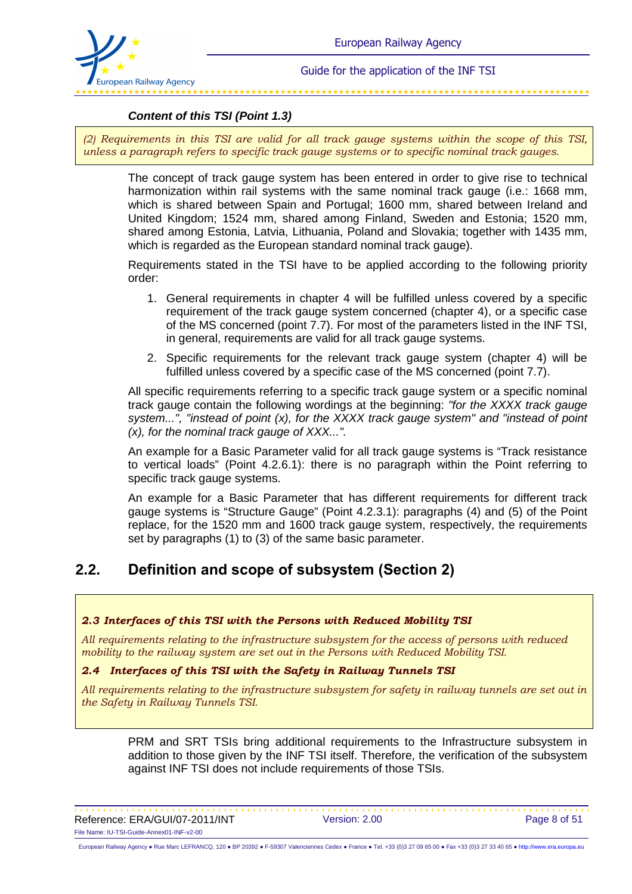

### **Content of this TSI (Point 1.3)**

*(2) Requirements in this TSI are valid for all track gauge systems within the scope of this TSI, unless a paragraph refers to specific track gauge systems or to specific nominal track gauges.* 

The concept of track gauge system has been entered in order to give rise to technical harmonization within rail systems with the same nominal track gauge (i.e.: 1668 mm, which is shared between Spain and Portugal; 1600 mm, shared between Ireland and United Kingdom; 1524 mm, shared among Finland, Sweden and Estonia; 1520 mm, shared among Estonia, Latvia, Lithuania, Poland and Slovakia; together with 1435 mm, which is regarded as the European standard nominal track gauge).

Requirements stated in the TSI have to be applied according to the following priority order:

- 1. General requirements in chapter 4 will be fulfilled unless covered by a specific requirement of the track gauge system concerned (chapter 4), or a specific case of the MS concerned (point 7.7). For most of the parameters listed in the INF TSI, in general, requirements are valid for all track gauge systems.
- 2. Specific requirements for the relevant track gauge system (chapter 4) will be fulfilled unless covered by a specific case of the MS concerned (point 7.7).

All specific requirements referring to a specific track gauge system or a specific nominal track gauge contain the following wordings at the beginning: "for the XXXX track gauge system...", "instead of point (x), for the XXXX track gauge system" and "instead of point (x), for the nominal track gauge of XXX...".

An example for a Basic Parameter valid for all track gauge systems is "Track resistance to vertical loads" (Point 4.2.6.1): there is no paragraph within the Point referring to specific track gauge systems.

An example for a Basic Parameter that has different requirements for different track gauge systems is "Structure Gauge" (Point 4.2.3.1): paragraphs (4) and (5) of the Point replace, for the 1520 mm and 1600 track gauge system, respectively, the requirements set by paragraphs (1) to (3) of the same basic parameter.

# **2.2. Definition and scope of subsystem (Section 2)**

#### *2.3 Interfaces of this TSI with the Persons with Reduced Mobility TSI*

*All requirements relating to the infrastructure subsystem for the access of persons with reduced mobility to the railway system are set out in the Persons with Reduced Mobility TSI.* 

#### *2.4 Interfaces of this TSI with the Safety in Railway Tunnels TSI*

*All requirements relating to the infrastructure subsystem for safety in railway tunnels are set out in the Safety in Railway Tunnels TSI.* 

PRM and SRT TSIs bring additional requirements to the Infrastructure subsystem in addition to those given by the INF TSI itself. Therefore, the verification of the subsystem against INF TSI does not include requirements of those TSIs.

Reference: ERA/GUI/07-2011/INT Version: 2.00 Page 8 of 51 File Name: IU-TSI-Guide-Annex01-INF-v2-00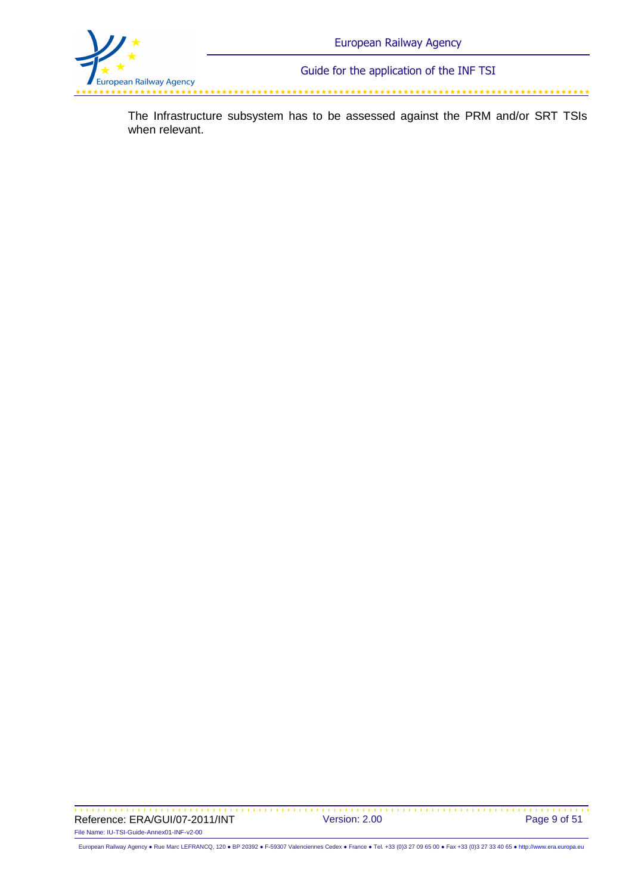

The Infrastructure subsystem has to be assessed against the PRM and/or SRT TSIs when relevant.

Reference: ERA/GUI/07-2011/INT Version: 2.00 Page 9 of 51 File Name: IU-TSI-Guide-Annex01-INF-v2-00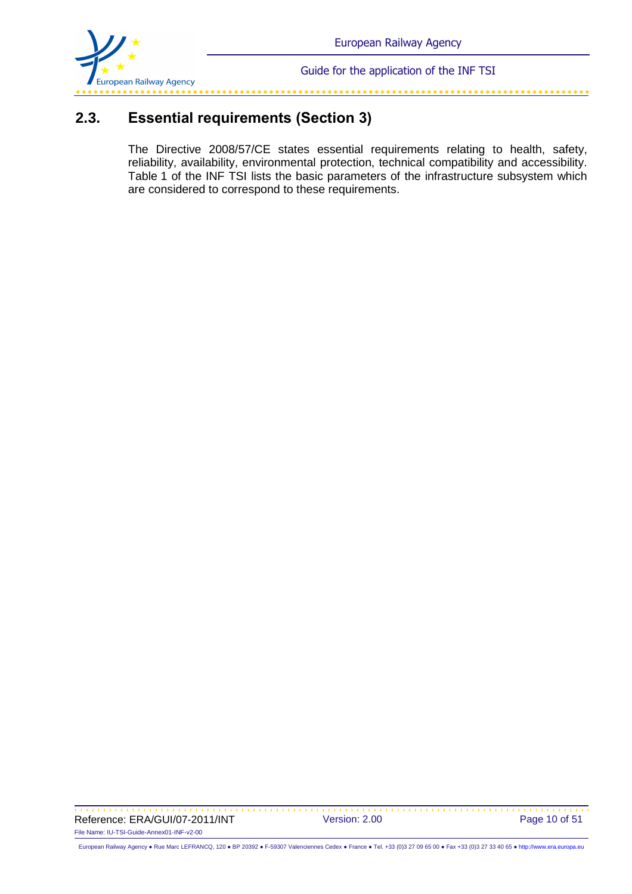

# **2.3. Essential requirements (Section 3)**

The Directive 2008/57/CE states essential requirements relating to health, safety, reliability, availability, environmental protection, technical compatibility and accessibility. Table 1 of the INF TSI lists the basic parameters of the infrastructure subsystem which are considered to correspond to these requirements.

Reference: ERA/GUI/07-2011/INT Version: 2.00 Page 10 of 51 File Name: IU-TSI-Guide-Annex01-INF-v2-00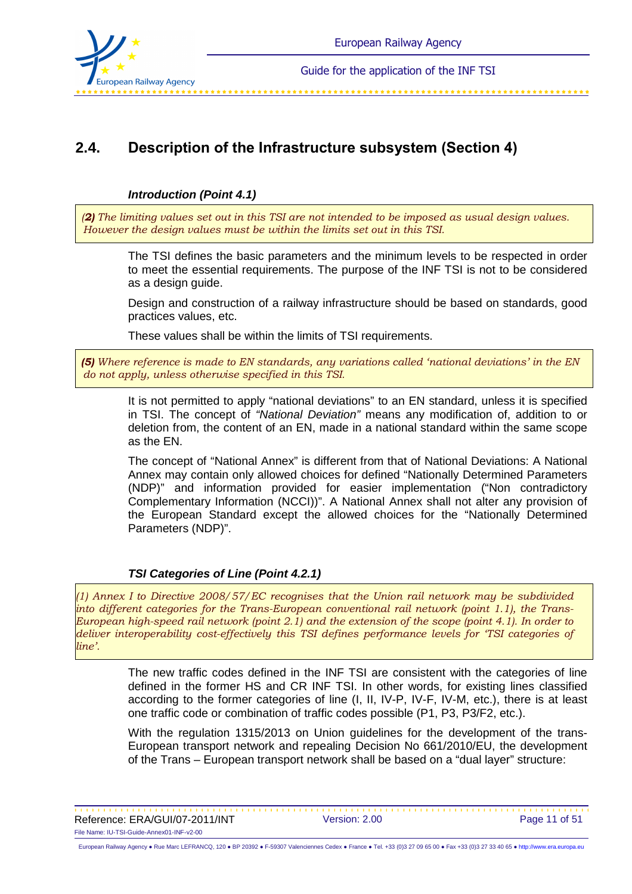

# **2.4. Description of the Infrastructure subsystem (Section 4)**

#### **Introduction (Point 4.1)**

*(2) The limiting values set out in this TSI are not intended to be imposed as usual design values. However the design values must be within the limits set out in this TSI.* 

The TSI defines the basic parameters and the minimum levels to be respected in order to meet the essential requirements. The purpose of the INF TSI is not to be considered as a design guide.

Design and construction of a railway infrastructure should be based on standards, good practices values, etc.

These values shall be within the limits of TSI requirements.

*(5) Where reference is made to EN standards, any variations called 'national deviations' in the EN do not apply, unless otherwise specified in this TSI.* 

It is not permitted to apply "national deviations" to an EN standard, unless it is specified in TSI. The concept of "National Deviation" means any modification of, addition to or deletion from, the content of an EN, made in a national standard within the same scope as the EN.

The concept of "National Annex" is different from that of National Deviations: A National Annex may contain only allowed choices for defined "Nationally Determined Parameters (NDP)" and information provided for easier implementation ("Non contradictory Complementary Information (NCCI))". A National Annex shall not alter any provision of the European Standard except the allowed choices for the "Nationally Determined Parameters (NDP)".

### **TSI Categories of Line (Point 4.2.1)**

*(1) Annex I to Directive 2008/57/EC recognises that the Union rail network may be subdivided into different categories for the Trans-European conventional rail network (point 1.1), the Trans-European high-speed rail network (point 2.1) and the extension of the scope (point 4.1). In order to deliver interoperability cost-effectively this TSI defines performance levels for 'TSI categories of line'.*

> The new traffic codes defined in the INF TSI are consistent with the categories of line defined in the former HS and CR INF TSI. In other words, for existing lines classified according to the former categories of line (I, II, IV-P, IV-F, IV-M, etc.), there is at least one traffic code or combination of traffic codes possible (P1, P3, P3/F2, etc.).

> With the regulation 1315/2013 on Union guidelines for the development of the trans-European transport network and repealing Decision No 661/2010/EU, the development of the Trans – European transport network shall be based on a "dual layer" structure:

Reference: ERA/GUI/07-2011/INT Version: 2.00 Page 11 of 51 File Name: IU-TSI-Guide-Annex01-INF-v2-00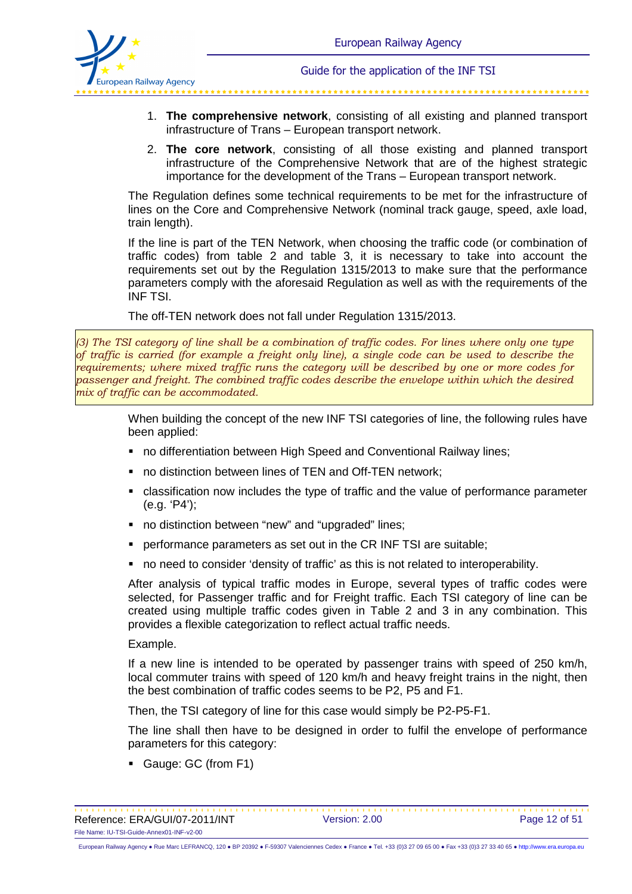

- 1. **The comprehensive network**, consisting of all existing and planned transport infrastructure of Trans – European transport network.
- 2. **The core network**, consisting of all those existing and planned transport infrastructure of the Comprehensive Network that are of the highest strategic importance for the development of the Trans – European transport network.

The Regulation defines some technical requirements to be met for the infrastructure of lines on the Core and Comprehensive Network (nominal track gauge, speed, axle load, train length).

If the line is part of the TEN Network, when choosing the traffic code (or combination of traffic codes) from table 2 and table 3, it is necessary to take into account the requirements set out by the Regulation 1315/2013 to make sure that the performance parameters comply with the aforesaid Regulation as well as with the requirements of the INF TSI.

The off-TEN network does not fall under Regulation 1315/2013.

*(3) The TSI category of line shall be a combination of traffic codes. For lines where only one type of traffic is carried (for example a freight only line), a single code can be used to describe the requirements; where mixed traffic runs the category will be described by one or more codes for passenger and freight. The combined traffic codes describe the envelope within which the desired mix of traffic can be accommodated.*

> When building the concept of the new INF TSI categories of line, the following rules have been applied:

- no differentiation between High Speed and Conventional Railway lines;
- **no distinction between lines of TEN and Off-TEN network;**
- classification now includes the type of traffic and the value of performance parameter (e.g. 'P4');
- no distinction between "new" and "upgraded" lines;
- performance parameters as set out in the CR INF TSI are suitable;
- no need to consider 'density of traffic' as this is not related to interoperability.

After analysis of typical traffic modes in Europe, several types of traffic codes were selected, for Passenger traffic and for Freight traffic. Each TSI category of line can be created using multiple traffic codes given in Table 2 and 3 in any combination. This provides a flexible categorization to reflect actual traffic needs.

Example.

If a new line is intended to be operated by passenger trains with speed of 250 km/h, local commuter trains with speed of 120 km/h and heavy freight trains in the night, then the best combination of traffic codes seems to be P2, P5 and F1.

Then, the TSI category of line for this case would simply be P2-P5-F1.

The line shall then have to be designed in order to fulfil the envelope of performance parameters for this category:

- Gauge: GC (from F1)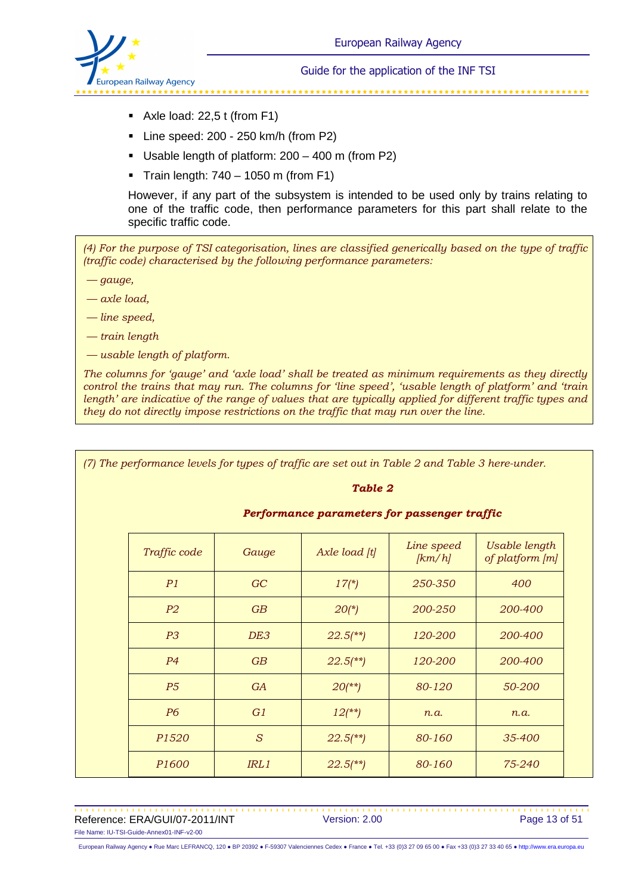

- Axle load: 22,5 t (from F1)
- Line speed: 200 250 km/h (from P2)
- Usable length of platform: 200 400 m (from P2)
- $\blacksquare$  Train length: 740 1050 m (from F1)

However, if any part of the subsystem is intended to be used only by trains relating to one of the traffic code, then performance parameters for this part shall relate to the specific traffic code.

*(4) For the purpose of TSI categorisation, lines are classified generically based on the type of traffic (traffic code) characterised by the following performance parameters:* 

 *— gauge,* 

 *— axle load,* 

 *— line speed,* 

 *— train length* 

 *— usable length of platform.* 

*The columns for 'gauge' and 'axle load' shall be treated as minimum requirements as they directly control the trains that may run. The columns for 'line speed', 'usable length of platform' and 'train length' are indicative of the range of values that are typically applied for different traffic types and they do not directly impose restrictions on the traffic that may run over the line.*

*(7) The performance levels for types of traffic are set out in Table 2 and Table 3 here-under.*

#### *Table 2*

| Performance parameters for passenger traffic |  |  |  |
|----------------------------------------------|--|--|--|
|----------------------------------------------|--|--|--|

| Traffic code      | Gauge | Axle load [t]          | Line speed<br>[km/h] | Usable length<br>of platform [m] |
|-------------------|-------|------------------------|----------------------|----------------------------------|
| P1                | GC    | $17(*)$                | 250-350              | 400                              |
| P <sub>2</sub>    | GB    | $20(*)$                | 200-250              | 200-400                          |
| P <sub>3</sub>    | DE3   | $22.5$ <sup>**</sup> ) | 120-200              | 200-400                          |
| P <sub>4</sub>    | GB    | $22.5$ <sup>**</sup> ) | 120-200              | 200-400                          |
| P <sub>5</sub>    | GA    | $20$ (**)              | 80-120               | 50-200                           |
| <b>P6</b>         | G1    | $12$ (**)              | n.a.                 | n.a.                             |
| P <sub>1520</sub> | S     | $22.5$ (**)            | 80-160               | 35-400                           |
| P <sub>1600</sub> | IRL1  | $22.5$ <sup>**</sup> ) | 80-160               | 75-240                           |

Reference: ERA/GUI/07-2011/INT Version: 2.00 Page 13 of 51 File Name: IU-TSI-Guide-Annex01-INF-v2-00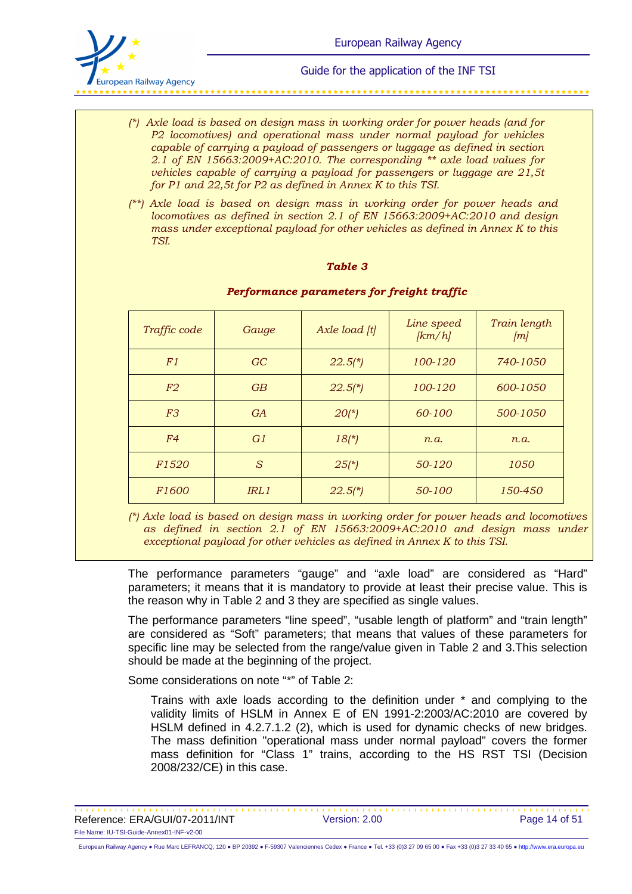

- *(\*) Axle load is based on design mass in working order for power heads (and for P2 locomotives) and operational mass under normal payload for vehicles capable of carrying a payload of passengers or luggage as defined in section 2.1 of EN 15663:2009+AC:2010. The corresponding \*\* axle load values for vehicles capable of carrying a payload for passengers or luggage are 21,5t for P1 and 22,5t for P2 as defined in Annex K to this TSI.*
- *(\*\*) Axle load is based on design mass in working order for power heads and locomotives as defined in section 2.1 of EN 15663:2009+AC:2010 and design mass under exceptional payload for other vehicles as defined in Annex K to this TSI.*

#### *Table 3*

| Traffic code      | Gauge     | Axle load [t] | Line speed<br>[km/h] | Train length<br>[m] |
|-------------------|-----------|---------------|----------------------|---------------------|
| F1                | GC        | $22.5(*)$     | 100-120              | 740-1050            |
| F2                | GB        | $22.5(*)$     | 100-120              | 600-1050            |
| F <sub>3</sub>    | <b>GA</b> | $20(*)$       | 60-100               | 500-1050            |
| F <sub>4</sub>    | G1        | $18(*)$       | n.a.                 | n.a.                |
| F <sub>1520</sub> | S         | $25(*)$       | 50-120               | 1050                |
| <i>F1600</i>      | IRL1      | $22.5(*)$     | 50-100               | 150-450             |

#### *Performance parameters for freight traffic*

*(\*) Axle load is based on design mass in working order for power heads and locomotives as defined in section 2.1 of EN 15663:2009+AC:2010 and design mass under exceptional payload for other vehicles as defined in Annex K to this TSI.* 

The performance parameters "gauge" and "axle load" are considered as "Hard" parameters; it means that it is mandatory to provide at least their precise value. This is the reason why in Table 2 and 3 they are specified as single values.

The performance parameters "line speed", "usable length of platform" and "train length" are considered as "Soft" parameters; that means that values of these parameters for specific line may be selected from the range/value given in Table 2 and 3.This selection should be made at the beginning of the project.

Some considerations on note "\*" of Table 2:

Trains with axle loads according to the definition under \* and complying to the validity limits of HSLM in Annex E of EN 1991-2:2003/AC:2010 are covered by HSLM defined in 4.2.7.1.2 (2), which is used for dynamic checks of new bridges. The mass definition "operational mass under normal payload" covers the former mass definition for "Class 1" trains, according to the HS RST TSI (Decision 2008/232/CE) in this case.

Reference: ERA/GUI/07-2011/INT Version: 2.00 Page 14 of 51 File Name: IU-TSI-Guide-Annex01-INF-v2-00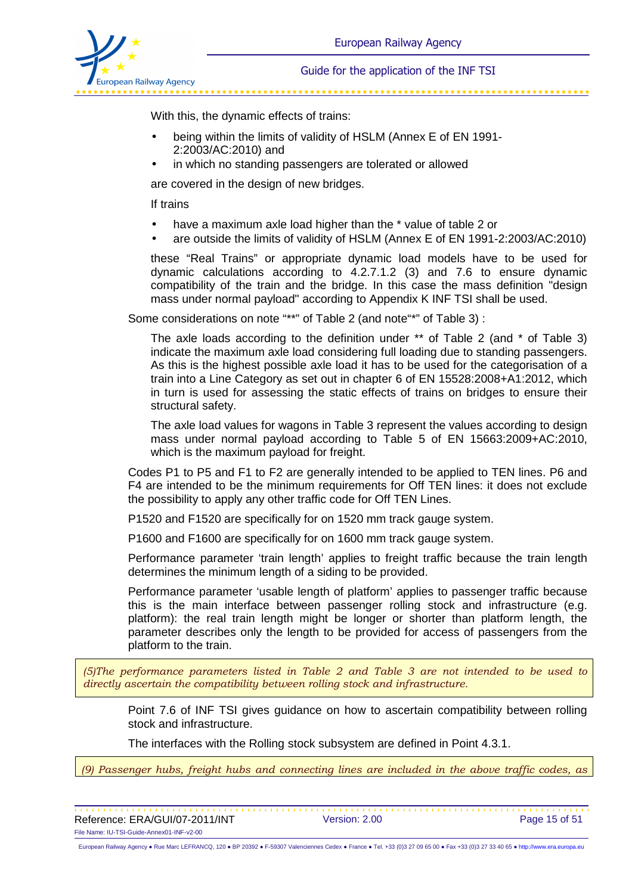

With this, the dynamic effects of trains:

- being within the limits of validity of HSLM (Annex E of EN 1991- 2:2003/AC:2010) and
- in which no standing passengers are tolerated or allowed

are covered in the design of new bridges.

If trains

- have a maximum axle load higher than the \* value of table 2 or
- are outside the limits of validity of HSLM (Annex E of EN 1991-2:2003/AC:2010)

these "Real Trains" or appropriate dynamic load models have to be used for dynamic calculations according to 4.2.7.1.2 (3) and 7.6 to ensure dynamic compatibility of the train and the bridge. In this case the mass definition "design mass under normal payload" according to Appendix K INF TSI shall be used.

Some considerations on note "\*\*" of Table 2 (and note"\*" of Table 3) :

The axle loads according to the definition under \*\* of Table 2 (and \* of Table 3) indicate the maximum axle load considering full loading due to standing passengers. As this is the highest possible axle load it has to be used for the categorisation of a train into a Line Category as set out in chapter 6 of EN 15528:2008+A1:2012, which in turn is used for assessing the static effects of trains on bridges to ensure their structural safety.

The axle load values for wagons in Table 3 represent the values according to design mass under normal payload according to Table 5 of EN 15663:2009+AC:2010, which is the maximum payload for freight.

Codes P1 to P5 and F1 to F2 are generally intended to be applied to TEN lines. P6 and F4 are intended to be the minimum requirements for Off TEN lines: it does not exclude the possibility to apply any other traffic code for Off TEN Lines.

P1520 and F1520 are specifically for on 1520 mm track gauge system.

P1600 and F1600 are specifically for on 1600 mm track gauge system.

Performance parameter 'train length' applies to freight traffic because the train length determines the minimum length of a siding to be provided.

Performance parameter 'usable length of platform' applies to passenger traffic because this is the main interface between passenger rolling stock and infrastructure (e.g. platform): the real train length might be longer or shorter than platform length, the parameter describes only the length to be provided for access of passengers from the platform to the train.

*(5)The performance parameters listed in Table 2 and Table 3 are not intended to be used to directly ascertain the compatibility between rolling stock and infrastructure.*

Point 7.6 of INF TSI gives guidance on how to ascertain compatibility between rolling stock and infrastructure.

The interfaces with the Rolling stock subsystem are defined in Point 4.3.1.

*(9) Passenger hubs, freight hubs and connecting lines are included in the above traffic codes, as* 

Reference: ERA/GUI/07-2011/INT Version: 2.00 Page 15 of 51 File Name: IU-TSI-Guide-Annex01-INF-v2-00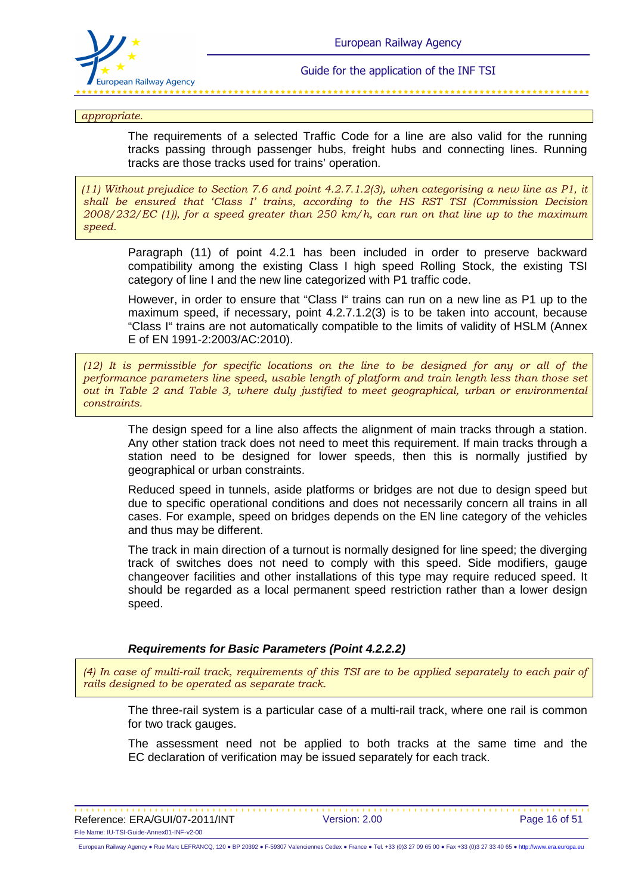

*appropriate.*

The requirements of a selected Traffic Code for a line are also valid for the running tracks passing through passenger hubs, freight hubs and connecting lines. Running tracks are those tracks used for trains' operation.

*(11) Without prejudice to Section 7.6 and point 4.2.7.1.2(3), when categorising a new line as P1, it shall be ensured that 'Class I' trains, according to the HS RST TSI (Commission Decision 2008/232/EC (1)), for a speed greater than 250 km/h, can run on that line up to the maximum speed.* 

Paragraph (11) of point 4.2.1 has been included in order to preserve backward compatibility among the existing Class I high speed Rolling Stock, the existing TSI category of line I and the new line categorized with P1 traffic code.

However, in order to ensure that "Class I" trains can run on a new line as P1 up to the maximum speed, if necessary, point 4.2.7.1.2(3) is to be taken into account, because "Class I" trains are not automatically compatible to the limits of validity of HSLM (Annex E of EN 1991-2:2003/AC:2010).

*(12) It is permissible for specific locations on the line to be designed for any or all of the performance parameters line speed, usable length of platform and train length less than those set out in Table 2 and Table 3, where duly justified to meet geographical, urban or environmental constraints.*

The design speed for a line also affects the alignment of main tracks through a station. Any other station track does not need to meet this requirement. If main tracks through a station need to be designed for lower speeds, then this is normally justified by geographical or urban constraints.

Reduced speed in tunnels, aside platforms or bridges are not due to design speed but due to specific operational conditions and does not necessarily concern all trains in all cases. For example, speed on bridges depends on the EN line category of the vehicles and thus may be different.

The track in main direction of a turnout is normally designed for line speed; the diverging track of switches does not need to comply with this speed. Side modifiers, gauge changeover facilities and other installations of this type may require reduced speed. It should be regarded as a local permanent speed restriction rather than a lower design speed.

#### **Requirements for Basic Parameters (Point 4.2.2.2)**

*(4) In case of multi-rail track, requirements of this TSI are to be applied separately to each pair of rails designed to be operated as separate track.*

The three-rail system is a particular case of a multi-rail track, where one rail is common for two track gauges.

The assessment need not be applied to both tracks at the same time and the EC declaration of verification may be issued separately for each track.

Reference: ERA/GUI/07-2011/INT Version: 2.00 Page 16 of 51 File Name: IU-TSI-Guide-Annex01-INF-v2-00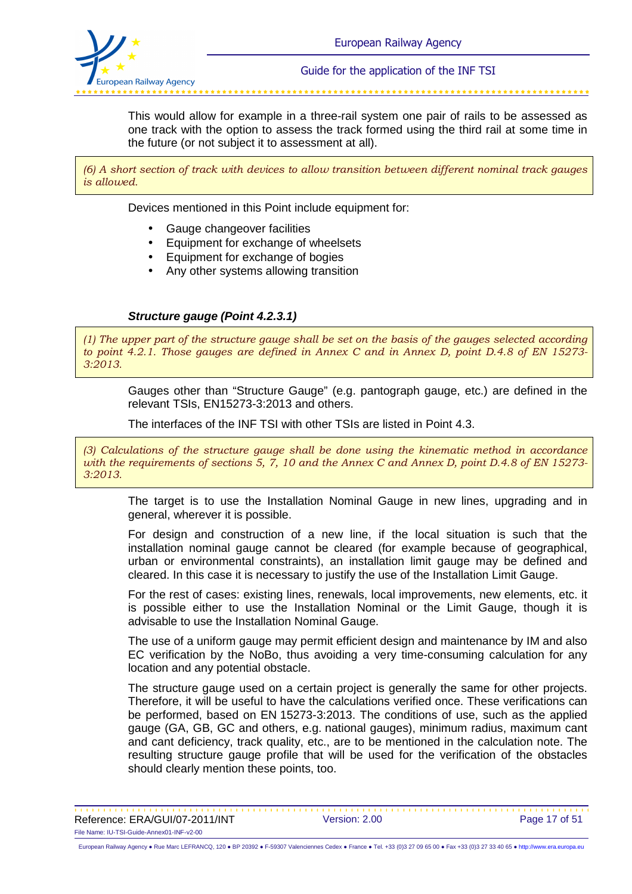

This would allow for example in a three-rail system one pair of rails to be assessed as one track with the option to assess the track formed using the third rail at some time in the future (or not subject it to assessment at all).

*(6) A short section of track with devices to allow transition between different nominal track gauges is allowed.* 

Devices mentioned in this Point include equipment for:

- Gauge changeover facilities
- Equipment for exchange of wheelsets
- Equipment for exchange of bogies
- Any other systems allowing transition

#### **Structure gauge (Point 4.2.3.1)**

*(1) The upper part of the structure gauge shall be set on the basis of the gauges selected according to point 4.2.1. Those gauges are defined in Annex C and in Annex D, point D.4.8 of EN 15273- 3:2013.*

Gauges other than "Structure Gauge" (e.g. pantograph gauge, etc.) are defined in the relevant TSIs, EN15273-3:2013 and others.

The interfaces of the INF TSI with other TSIs are listed in Point 4.3.

*(3) Calculations of the structure gauge shall be done using the kinematic method in accordance with the requirements of sections 5, 7, 10 and the Annex C and Annex D, point D.4.8 of EN 15273- 3:2013.*

The target is to use the Installation Nominal Gauge in new lines, upgrading and in general, wherever it is possible.

For design and construction of a new line, if the local situation is such that the installation nominal gauge cannot be cleared (for example because of geographical, urban or environmental constraints), an installation limit gauge may be defined and cleared. In this case it is necessary to justify the use of the Installation Limit Gauge.

For the rest of cases: existing lines, renewals, local improvements, new elements, etc. it is possible either to use the Installation Nominal or the Limit Gauge, though it is advisable to use the Installation Nominal Gauge.

The use of a uniform gauge may permit efficient design and maintenance by IM and also EC verification by the NoBo, thus avoiding a very time-consuming calculation for any location and any potential obstacle.

The structure gauge used on a certain project is generally the same for other projects. Therefore, it will be useful to have the calculations verified once. These verifications can be performed, based on EN 15273-3:2013. The conditions of use, such as the applied gauge (GA, GB, GC and others, e.g. national gauges), minimum radius, maximum cant and cant deficiency, track quality, etc., are to be mentioned in the calculation note. The resulting structure gauge profile that will be used for the verification of the obstacles should clearly mention these points, too.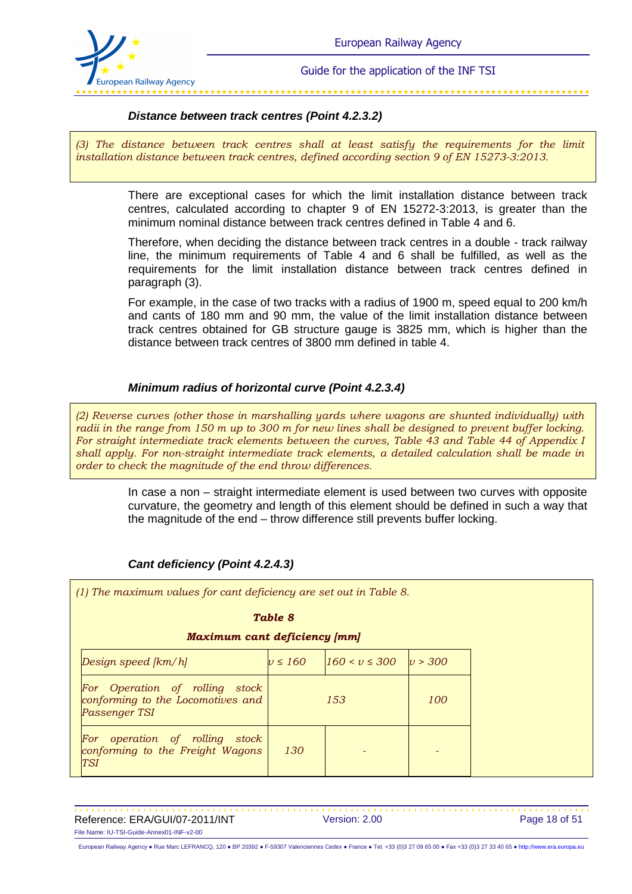

### **Distance between track centres (Point 4.2.3.2)**

*(3) The distance between track centres shall at least satisfy the requirements for the limit installation distance between track centres, defined according section 9 of EN 15273-3:2013.*

> There are exceptional cases for which the limit installation distance between track centres, calculated according to chapter 9 of EN 15272-3:2013, is greater than the minimum nominal distance between track centres defined in Table 4 and 6.

> Therefore, when deciding the distance between track centres in a double - track railway line, the minimum requirements of Table 4 and 6 shall be fulfilled, as well as the requirements for the limit installation distance between track centres defined in paragraph (3).

> For example, in the case of two tracks with a radius of 1900 m, speed equal to 200 km/h and cants of 180 mm and 90 mm, the value of the limit installation distance between track centres obtained for GB structure gauge is 3825 mm, which is higher than the distance between track centres of 3800 mm defined in table 4.

### **Minimum radius of horizontal curve (Point 4.2.3.4)**

*(2) Reverse curves (other those in marshalling yards where wagons are shunted individually) with radii in the range from 150 m up to 300 m for new lines shall be designed to prevent buffer locking. For straight intermediate track elements between the curves, Table 43 and Table 44 of Appendix I shall apply. For non-straight intermediate track elements, a detailed calculation shall be made in order to check the magnitude of the end throw differences.*

> In case a non – straight intermediate element is used between two curves with opposite curvature, the geometry and length of this element should be defined in such a way that the magnitude of the end – throw difference still prevents buffer locking.

#### **Cant deficiency (Point 4.2.4.3)**

*(1) The maximum values for cant deficiency are set out in Table 8. Table 8 Maximum cant deficiency [mm] Design speed [km/h] v ≤ 160 160 < v ≤ 300 v > 300 For Operation of rolling stock conforming to the Locomotives and Passenger TSI 153 100 For operation of rolling stock conforming to the Freight Wagons TSI 130 - -* 

Reference: ERA/GUI/07-2011/INT Version: 2.00 Page 18 of 51 File Name: IU-TSI-Guide-Annex01-INF-v2-00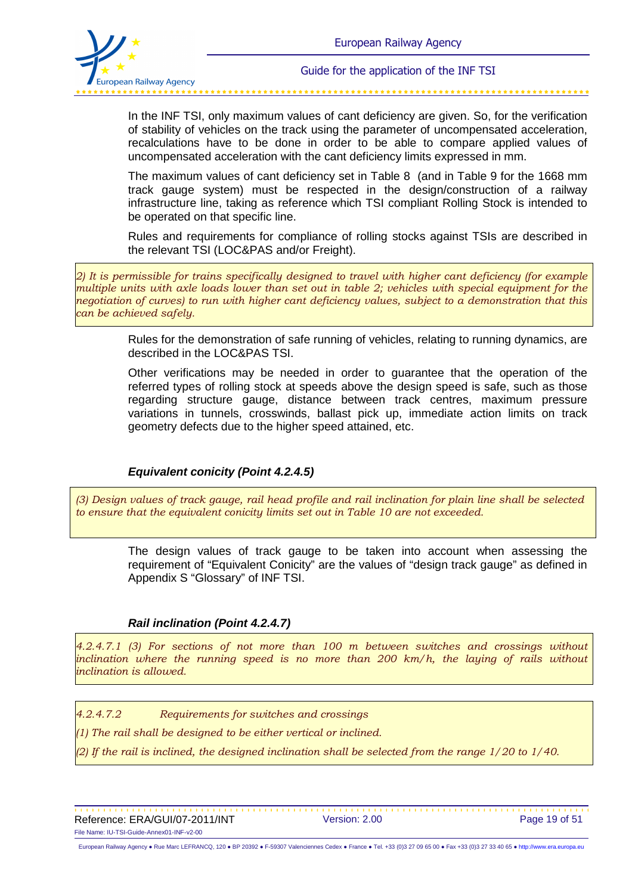

In the INF TSI, only maximum values of cant deficiency are given. So, for the verification of stability of vehicles on the track using the parameter of uncompensated acceleration, recalculations have to be done in order to be able to compare applied values of uncompensated acceleration with the cant deficiency limits expressed in mm.

The maximum values of cant deficiency set in Table 8 (and in Table 9 for the 1668 mm track gauge system) must be respected in the design/construction of a railway infrastructure line, taking as reference which TSI compliant Rolling Stock is intended to be operated on that specific line.

Rules and requirements for compliance of rolling stocks against TSIs are described in the relevant TSI (LOC&PAS and/or Freight).

*2) It is permissible for trains specifically designed to travel with higher cant deficiency (for example multiple units with axle loads lower than set out in table 2; vehicles with special equipment for the negotiation of curves) to run with higher cant deficiency values, subject to a demonstration that this can be achieved safely.*

Rules for the demonstration of safe running of vehicles, relating to running dynamics, are described in the LOC&PAS TSI.

Other verifications may be needed in order to guarantee that the operation of the referred types of rolling stock at speeds above the design speed is safe, such as those regarding structure gauge, distance between track centres, maximum pressure variations in tunnels, crosswinds, ballast pick up, immediate action limits on track geometry defects due to the higher speed attained, etc.

#### **Equivalent conicity (Point 4.2.4.5)**

*(3) Design values of track gauge, rail head profile and rail inclination for plain line shall be selected to ensure that the equivalent conicity limits set out in Table 10 are not exceeded.*

> The design values of track gauge to be taken into account when assessing the requirement of "Equivalent Conicity" are the values of "design track gauge" as defined in Appendix S "Glossary" of INF TSI.

#### **Rail inclination (Point 4.2.4.7)**

*4.2.4.7.1 (3) For sections of not more than 100 m between switches and crossings without inclination where the running speed is no more than 200 km/h, the laying of rails without inclination is allowed.*

*4.2.4.7.2 Requirements for switches and crossings* 

*(1) The rail shall be designed to be either vertical or inclined.*

*(2) If the rail is inclined, the designed inclination shall be selected from the range 1/20 to 1/40.* 

Reference: ERA/GUI/07-2011/INT Version: 2.00 Page 19 of 51 File Name: IU-TSI-Guide-Annex01-INF-v2-00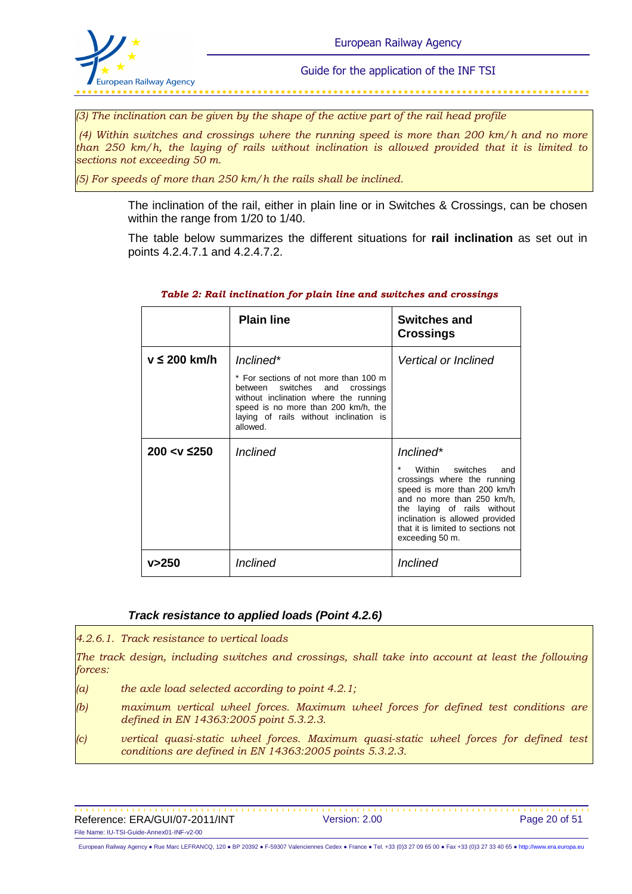

*(3) The inclination can be given by the shape of the active part of the rail head profile*

*(4) Within switches and crossings where the running speed is more than 200 km/h and no more than 250 km/h, the laying of rails without inclination is allowed provided that it is limited to sections not exceeding 50 m.*

*(5) For speeds of more than 250 km/h the rails shall be inclined.*

The inclination of the rail, either in plain line or in Switches & Crossings, can be chosen within the range from 1/20 to 1/40.

The table below summarizes the different situations for **rail inclination** as set out in points 4.2.4.7.1 and 4.2.4.7.2.

|                      | <b>Plain line</b>                                                                                                                                                                                                          | <b>Switches and</b><br><b>Crossings</b>                                                                                                                                                                                                                       |
|----------------------|----------------------------------------------------------------------------------------------------------------------------------------------------------------------------------------------------------------------------|---------------------------------------------------------------------------------------------------------------------------------------------------------------------------------------------------------------------------------------------------------------|
| $v \leq 200$ km/h    | Inclined*<br>* For sections of not more than 100 m<br>between switches and crossings<br>without inclination where the running<br>speed is no more than 200 km/h, the<br>laying of rails without inclination is<br>allowed. | Vertical or Inclined                                                                                                                                                                                                                                          |
| 200 $<$ v $\leq$ 250 | <i>Inclined</i>                                                                                                                                                                                                            | Inclined*<br>Within<br>switches<br>and<br>crossings where the running<br>speed is more than 200 km/h<br>and no more than 250 km/h.<br>the laying of rails without<br>inclination is allowed provided<br>that it is limited to sections not<br>exceeding 50 m. |
| v>250                | Inclined                                                                                                                                                                                                                   | Inclined                                                                                                                                                                                                                                                      |

#### *Table 2: Rail inclination for plain line and switches and crossings*

#### **Track resistance to applied loads (Point 4.2.6)**

*4.2.6.1. Track resistance to vertical loads* 

*The track design, including switches and crossings, shall take into account at least the following forces:*

- *(a) the axle load selected according to point 4.2.1;*
- *(b) maximum vertical wheel forces. Maximum wheel forces for defined test conditions are defined in EN 14363:2005 point 5.3.2.3.*
- *(c) vertical quasi-static wheel forces. Maximum quasi-static wheel forces for defined test conditions are defined in EN 14363:2005 points 5.3.2.3.*

Reference: ERA/GUI/07-2011/INT Version: 2.00 Page 20 of 51 File Name: IU-TSI-Guide-Annex01-INF-v2-00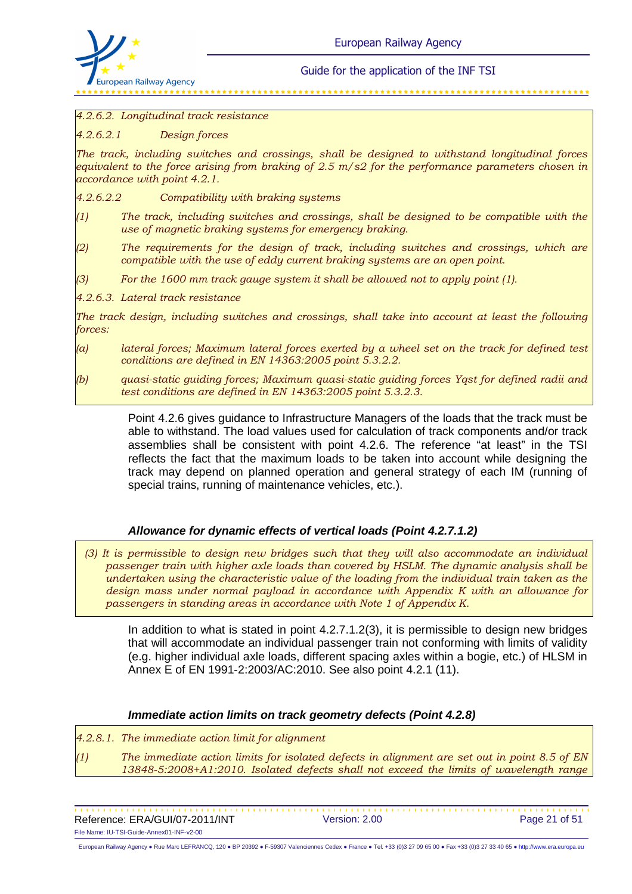

#### *4.2.6.2. Longitudinal track resistance*

*4.2.6.2.1 Design forces* 

*The track, including switches and crossings, shall be designed to withstand longitudinal forces equivalent to the force arising from braking of 2.5 m/s2 for the performance parameters chosen in accordance with point 4.2.1.*

*4.2.6.2.2 Compatibility with braking systems* 

- *(1) The track, including switches and crossings, shall be designed to be compatible with the use of magnetic braking systems for emergency braking.*
- *(2) The requirements for the design of track, including switches and crossings, which are compatible with the use of eddy current braking systems are an open point.*
- *(3) For the 1600 mm track gauge system it shall be allowed not to apply point (1).*
- *4.2.6.3. Lateral track resistance*

*The track design, including switches and crossings, shall take into account at least the following forces:*

- *(a) lateral forces; Maximum lateral forces exerted by a wheel set on the track for defined test conditions are defined in EN 14363:2005 point 5.3.2.2.*
- *(b) quasi-static guiding forces; Maximum quasi-static guiding forces Yqst for defined radii and test conditions are defined in EN 14363:2005 point 5.3.2.3.*

Point 4.2.6 gives guidance to Infrastructure Managers of the loads that the track must be able to withstand. The load values used for calculation of track components and/or track assemblies shall be consistent with point 4.2.6. The reference "at least" in the TSI reflects the fact that the maximum loads to be taken into account while designing the track may depend on planned operation and general strategy of each IM (running of special trains, running of maintenance vehicles, etc.).

### **Allowance for dynamic effects of vertical loads (Point 4.2.7.1.2)**

*(3) It is permissible to design new bridges such that they will also accommodate an individual passenger train with higher axle loads than covered by HSLM. The dynamic analysis shall be undertaken using the characteristic value of the loading from the individual train taken as the design mass under normal payload in accordance with Appendix K with an allowance for passengers in standing areas in accordance with Note 1 of Appendix K.*

In addition to what is stated in point 4.2.7.1.2(3), it is permissible to design new bridges that will accommodate an individual passenger train not conforming with limits of validity (e.g. higher individual axle loads, different spacing axles within a bogie, etc.) of HLSM in Annex E of EN 1991-2:2003/AC:2010. See also point 4.2.1 (11).

#### **Immediate action limits on track geometry defects (Point 4.2.8)**

*4.2.8.1. The immediate action limit for alignment* 

*(1) The immediate action limits for isolated defects in alignment are set out in point 8.5 of EN 13848-5:2008+A1:2010. Isolated defects shall not exceed the limits of wavelength range* 

Reference: ERA/GUI/07-2011/INT Version: 2.00 Page 21 of 51 File Name: IU-TSI-Guide-Annex01-INF-v2-00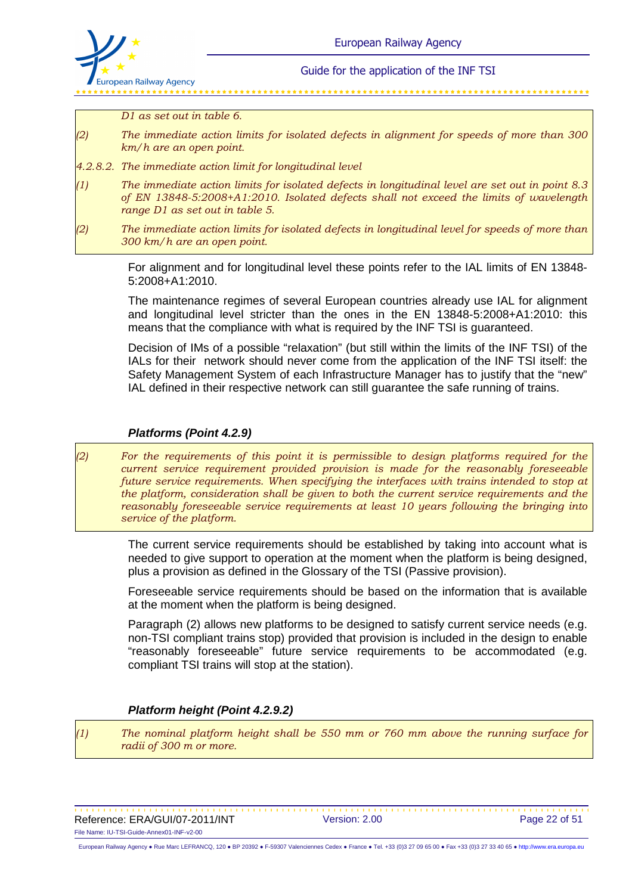

*D1 as set out in table 6.*

- *(2) The immediate action limits for isolated defects in alignment for speeds of more than 300 km/h are an open point.*
- *4.2.8.2. The immediate action limit for longitudinal level*
- *(1) The immediate action limits for isolated defects in longitudinal level are set out in point 8.3 of EN 13848-5:2008+A1:2010. Isolated defects shall not exceed the limits of wavelength range D1 as set out in table 5.*
- *(2) The immediate action limits for isolated defects in longitudinal level for speeds of more than 300 km/h are an open point.*

For alignment and for longitudinal level these points refer to the IAL limits of EN 13848- 5:2008+A1:2010.

The maintenance regimes of several European countries already use IAL for alignment and longitudinal level stricter than the ones in the EN 13848-5:2008+A1:2010: this means that the compliance with what is required by the INF TSI is guaranteed.

Decision of IMs of a possible "relaxation" (but still within the limits of the INF TSI) of the IALs for their network should never come from the application of the INF TSI itself: the Safety Management System of each Infrastructure Manager has to justify that the "new" IAL defined in their respective network can still guarantee the safe running of trains.

#### **Platforms (Point 4.2.9)**

*(2) For the requirements of this point it is permissible to design platforms required for the current service requirement provided provision is made for the reasonably foreseeable future service requirements. When specifying the interfaces with trains intended to stop at the platform, consideration shall be given to both the current service requirements and the reasonably foreseeable service requirements at least 10 years following the bringing into service of the platform.*

The current service requirements should be established by taking into account what is needed to give support to operation at the moment when the platform is being designed, plus a provision as defined in the Glossary of the TSI (Passive provision).

Foreseeable service requirements should be based on the information that is available at the moment when the platform is being designed.

Paragraph (2) allows new platforms to be designed to satisfy current service needs (e.g. non-TSI compliant trains stop) provided that provision is included in the design to enable "reasonably foreseeable" future service requirements to be accommodated (e.g. compliant TSI trains will stop at the station).

#### **Platform height (Point 4.2.9.2)**

*(1) The nominal platform height shall be 550 mm or 760 mm above the running surface for radii of 300 m or more.*

Reference: ERA/GUI/07-2011/INT Version: 2.00 Page 22 of 51 File Name: IU-TSI-Guide-Annex01-INF-v2-00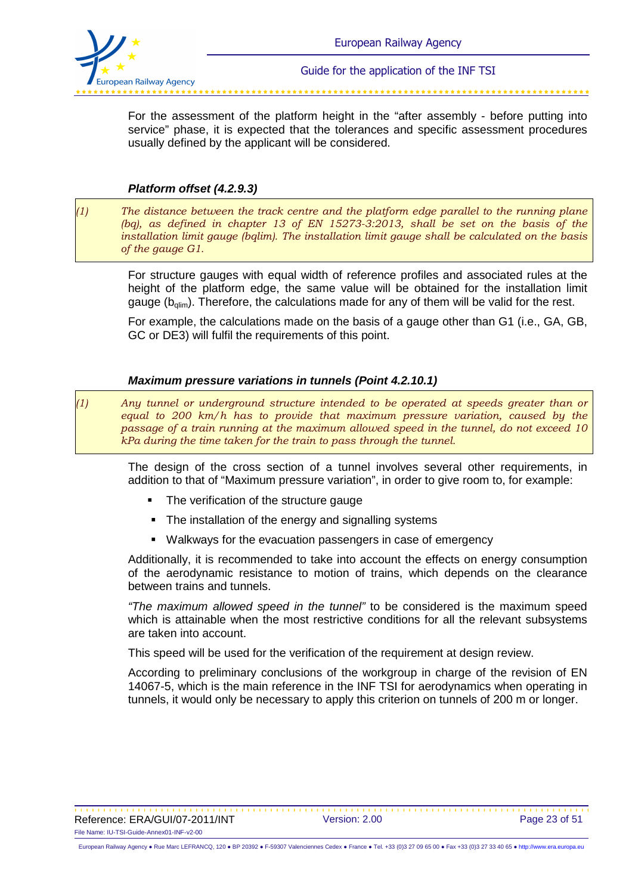

For the assessment of the platform height in the "after assembly - before putting into service" phase, it is expected that the tolerances and specific assessment procedures usually defined by the applicant will be considered.

### **Platform offset (4.2.9.3)**

*(1) The distance between the track centre and the platform edge parallel to the running plane (bq), as defined in chapter 13 of EN 15273-3:2013, shall be set on the basis of the installation limit gauge (bqlim). The installation limit gauge shall be calculated on the basis of the gauge G1.*

For structure gauges with equal width of reference profiles and associated rules at the height of the platform edge, the same value will be obtained for the installation limit gauge ( $b_{\text{dim}}$ ). Therefore, the calculations made for any of them will be valid for the rest.

For example, the calculations made on the basis of a gauge other than G1 (i.e., GA, GB, GC or DE3) will fulfil the requirements of this point.

#### **Maximum pressure variations in tunnels (Point 4.2.10.1)**

*(1) Any tunnel or underground structure intended to be operated at speeds greater than or equal to 200 km/h has to provide that maximum pressure variation, caused by the passage of a train running at the maximum allowed speed in the tunnel, do not exceed 10 kPa during the time taken for the train to pass through the tunnel.*

The design of the cross section of a tunnel involves several other requirements, in addition to that of "Maximum pressure variation", in order to give room to, for example:

- -The verification of the structure gauge
- The installation of the energy and signalling systems
- Walkways for the evacuation passengers in case of emergency

Additionally, it is recommended to take into account the effects on energy consumption of the aerodynamic resistance to motion of trains, which depends on the clearance between trains and tunnels.

"The maximum allowed speed in the tunnel" to be considered is the maximum speed which is attainable when the most restrictive conditions for all the relevant subsystems are taken into account.

This speed will be used for the verification of the requirement at design review.

According to preliminary conclusions of the workgroup in charge of the revision of EN 14067-5, which is the main reference in the INF TSI for aerodynamics when operating in tunnels, it would only be necessary to apply this criterion on tunnels of 200 m or longer.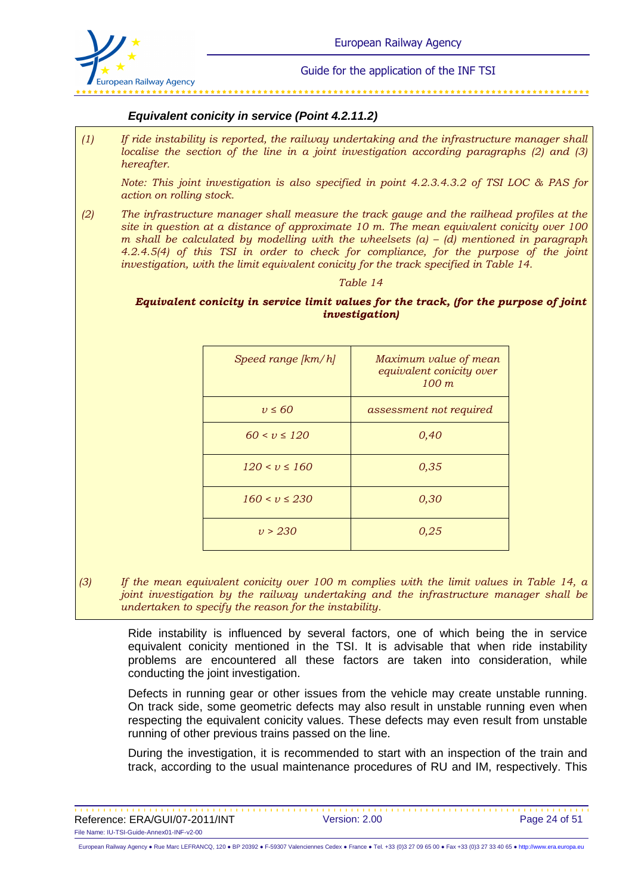

#### **Equivalent conicity in service (Point 4.2.11.2)**

*(1) If ride instability is reported, the railway undertaking and the infrastructure manager shall localise the section of the line in a joint investigation according paragraphs (2) and (3) hereafter.* 

*Note: This joint investigation is also specified in point 4.2.3.4.3.2 of TSI LOC & PAS for action on rolling stock.* 

*(2) The infrastructure manager shall measure the track gauge and the railhead profiles at the site in question at a distance of approximate 10 m. The mean equivalent conicity over 100 m shall be calculated by modelling with the wheelsets (a) – (d) mentioned in paragraph 4.2.4.5(4) of this TSI in order to check for compliance, for the purpose of the joint investigation, with the limit equivalent conicity for the track specified in Table 14.* 

#### *Table 14*

#### *Equivalent conicity in service limit values for the track, (for the purpose of joint investigation)*

| Speed range [km/h]  | Maximum value of mean<br>equivalent conicity over<br>$100 \; m$ |
|---------------------|-----------------------------------------------------------------|
| $v \leq 60$         | assessment not required                                         |
| $60 < v \le 120$    | 0,40                                                            |
| $120 \le v \le 160$ | 0,35                                                            |
| $160 \le v \le 230$ | 0,30                                                            |
| v > 230             | 0.25                                                            |

*(3) If the mean equivalent conicity over 100 m complies with the limit values in Table 14, a joint investigation by the railway undertaking and the infrastructure manager shall be undertaken to specify the reason for the instability.*

Ride instability is influenced by several factors, one of which being the in service equivalent conicity mentioned in the TSI. It is advisable that when ride instability problems are encountered all these factors are taken into consideration, while conducting the joint investigation.

Defects in running gear or other issues from the vehicle may create unstable running. On track side, some geometric defects may also result in unstable running even when respecting the equivalent conicity values. These defects may even result from unstable running of other previous trains passed on the line.

During the investigation, it is recommended to start with an inspection of the train and track, according to the usual maintenance procedures of RU and IM, respectively. This

Reference: ERA/GUI/07-2011/INT Version: 2.00 Page 24 of 51 File Name: IU-TSI-Guide-Annex01-INF-v2-00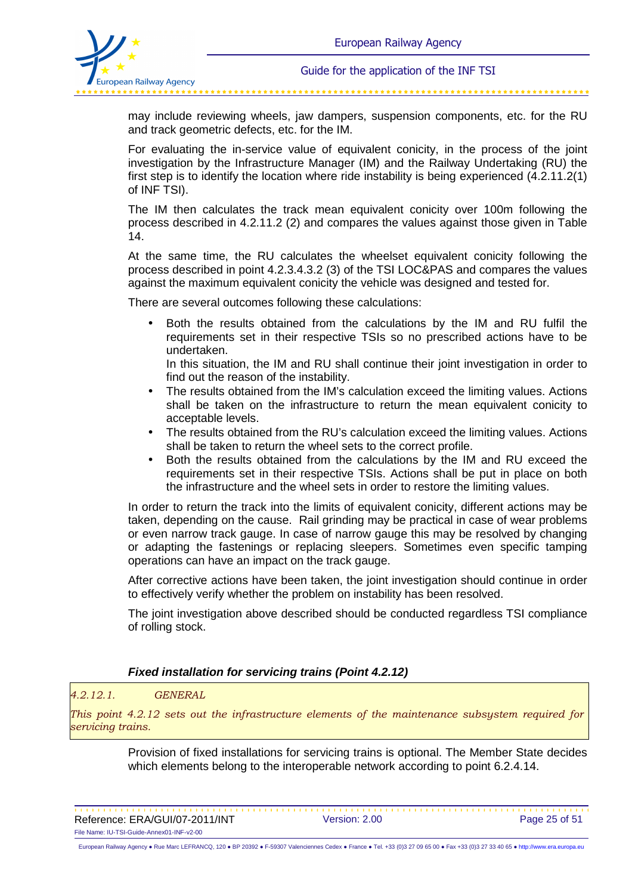

may include reviewing wheels, jaw dampers, suspension components, etc. for the RU and track geometric defects, etc. for the IM.

For evaluating the in-service value of equivalent conicity, in the process of the joint investigation by the Infrastructure Manager (IM) and the Railway Undertaking (RU) the first step is to identify the location where ride instability is being experienced (4.2.11.2(1) of INF TSI).

The IM then calculates the track mean equivalent conicity over 100m following the process described in 4.2.11.2 (2) and compares the values against those given in Table 14.

At the same time, the RU calculates the wheelset equivalent conicity following the process described in point 4.2.3.4.3.2 (3) of the TSI LOC&PAS and compares the values against the maximum equivalent conicity the vehicle was designed and tested for.

There are several outcomes following these calculations:

• Both the results obtained from the calculations by the IM and RU fulfil the requirements set in their respective TSIs so no prescribed actions have to be undertaken.

In this situation, the IM and RU shall continue their joint investigation in order to find out the reason of the instability.

- The results obtained from the IM's calculation exceed the limiting values. Actions shall be taken on the infrastructure to return the mean equivalent conicity to acceptable levels.
- The results obtained from the RU's calculation exceed the limiting values. Actions shall be taken to return the wheel sets to the correct profile.
- Both the results obtained from the calculations by the IM and RU exceed the requirements set in their respective TSIs. Actions shall be put in place on both the infrastructure and the wheel sets in order to restore the limiting values.

In order to return the track into the limits of equivalent conicity, different actions may be taken, depending on the cause. Rail grinding may be practical in case of wear problems or even narrow track gauge. In case of narrow gauge this may be resolved by changing or adapting the fastenings or replacing sleepers. Sometimes even specific tamping operations can have an impact on the track gauge.

After corrective actions have been taken, the joint investigation should continue in order to effectively verify whether the problem on instability has been resolved.

The joint investigation above described should be conducted regardless TSI compliance of rolling stock.

#### **Fixed installation for servicing trains (Point 4.2.12)**

#### *4.2.12.1. GENERAL*

*This point 4.2.12 sets out the infrastructure elements of the maintenance subsystem required for servicing trains.*

> Provision of fixed installations for servicing trains is optional. The Member State decides which elements belong to the interoperable network according to point 6.2.4.14.

Reference: ERA/GUI/07-2011/INT Version: 2.00 Page 25 of 51 File Name: IU-TSI-Guide-Annex01-INF-v2-00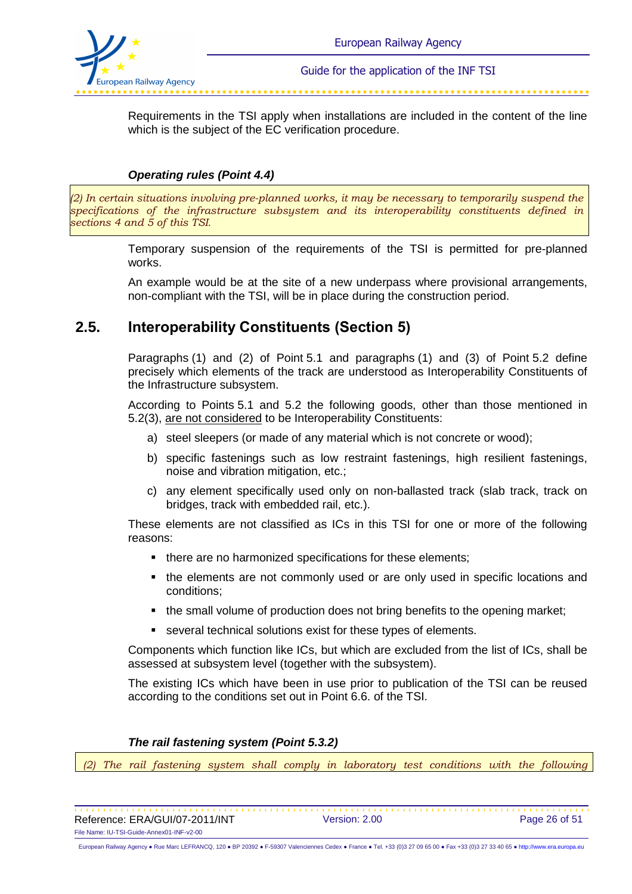

Requirements in the TSI apply when installations are included in the content of the line which is the subject of the EC verification procedure.

### **Operating rules (Point 4.4)**

*(2) In certain situations involving pre-planned works, it may be necessary to temporarily suspend the specifications of the infrastructure subsystem and its interoperability constituents defined in sections 4 and 5 of this TSI.*

> Temporary suspension of the requirements of the TSI is permitted for pre-planned works.

> An example would be at the site of a new underpass where provisional arrangements, non-compliant with the TSI, will be in place during the construction period.

## **2.5. Interoperability Constituents (Section 5)**

Paragraphs (1) and (2) of Point 5.1 and paragraphs (1) and (3) of Point 5.2 define precisely which elements of the track are understood as Interoperability Constituents of the Infrastructure subsystem.

According to Points 5.1 and 5.2 the following goods, other than those mentioned in 5.2(3), are not considered to be Interoperability Constituents:

- a) steel sleepers (or made of any material which is not concrete or wood);
- b) specific fastenings such as low restraint fastenings, high resilient fastenings, noise and vibration mitigation, etc.;
- c) any element specifically used only on non-ballasted track (slab track, track on bridges, track with embedded rail, etc.).

These elements are not classified as ICs in this TSI for one or more of the following reasons:

- $\blacksquare$  there are no harmonized specifications for these elements;
- the elements are not commonly used or are only used in specific locations and conditions;
- the small volume of production does not bring benefits to the opening market;
- **EXECTER 13 Incredent** Solutions exist for these types of elements.

Components which function like ICs, but which are excluded from the list of ICs, shall be assessed at subsystem level (together with the subsystem).

The existing ICs which have been in use prior to publication of the TSI can be reused according to the conditions set out in Point 6.6. of the TSI.

#### **The rail fastening system (Point 5.3.2)**

(2) The rail fastening system shall comply in laboratory test conditions with the following

Reference: ERA/GUI/07-2011/INT Version: 2.00 Page 26 of 51 File Name: IU-TSI-Guide-Annex01-INF-v2-00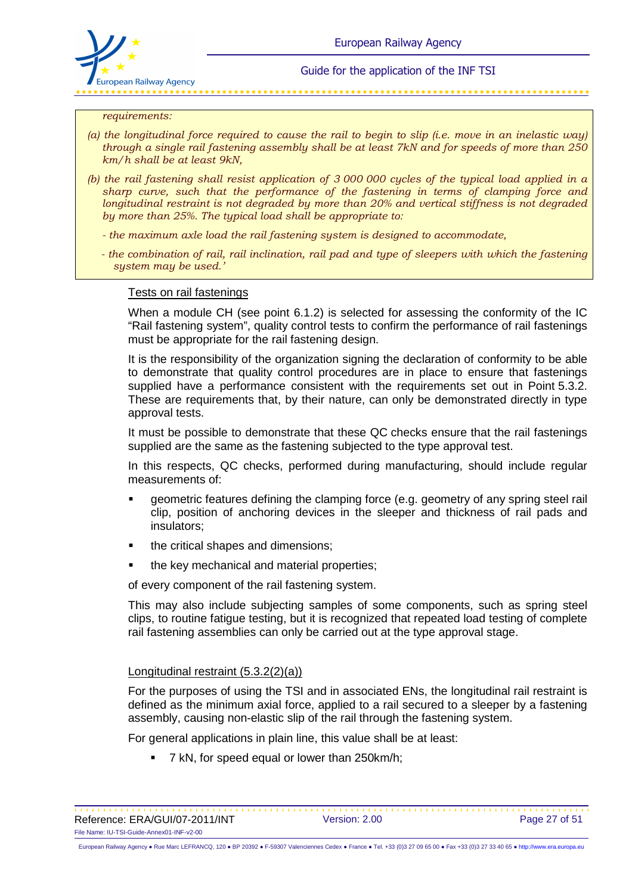

#### *requirements:*

- *(a) the longitudinal force required to cause the rail to begin to slip (i.e. move in an inelastic way) through a single rail fastening assembly shall be at least 7kN and for speeds of more than 250 km/h shall be at least 9kN,*
- *(b) the rail fastening shall resist application of 3 000 000 cycles of the typical load applied in a sharp curve, such that the performance of the fastening in terms of clamping force and longitudinal restraint is not degraded by more than 20% and vertical stiffness is not degraded by more than 25%. The typical load shall be appropriate to:* 
	- *the maximum axle load the rail fastening system is designed to accommodate,*
	- *the combination of rail, rail inclination, rail pad and type of sleepers with which the fastening system may be used.'*

#### Tests on rail fastenings

When a module CH (see point 6.1.2) is selected for assessing the conformity of the IC "Rail fastening system", quality control tests to confirm the performance of rail fastenings must be appropriate for the rail fastening design.

It is the responsibility of the organization signing the declaration of conformity to be able to demonstrate that quality control procedures are in place to ensure that fastenings supplied have a performance consistent with the requirements set out in Point 5.3.2. These are requirements that, by their nature, can only be demonstrated directly in type approval tests.

It must be possible to demonstrate that these QC checks ensure that the rail fastenings supplied are the same as the fastening subjected to the type approval test.

In this respects, QC checks, performed during manufacturing, should include regular measurements of:

- geometric features defining the clamping force (e.g. geometry of any spring steel rail clip, position of anchoring devices in the sleeper and thickness of rail pads and insulators;
- the critical shapes and dimensions;
- the key mechanical and material properties;

of every component of the rail fastening system.

This may also include subjecting samples of some components, such as spring steel clips, to routine fatigue testing, but it is recognized that repeated load testing of complete rail fastening assemblies can only be carried out at the type approval stage.

#### Longitudinal restraint (5.3.2(2)(a))

For the purposes of using the TSI and in associated ENs, the longitudinal rail restraint is defined as the minimum axial force, applied to a rail secured to a sleeper by a fastening assembly, causing non-elastic slip of the rail through the fastening system.

For general applications in plain line, this value shall be at least:

- 7 kN, for speed equal or lower than 250km/h;

Reference: ERA/GUI/07-2011/INT Version: 2.00 Page 27 of 51 File Name: IU-TSI-Guide-Annex01-INF-v2-00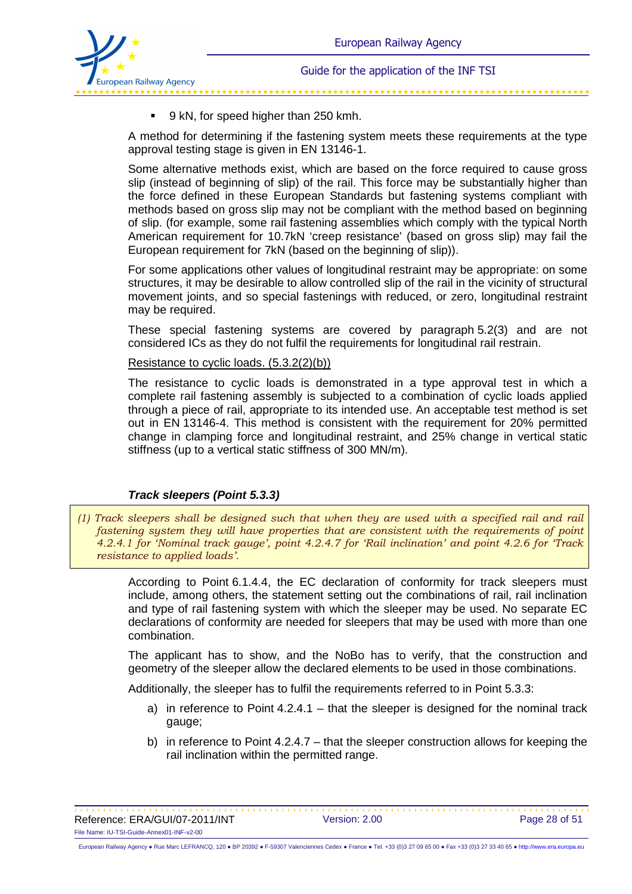

-9 kN, for speed higher than 250 kmh.

A method for determining if the fastening system meets these requirements at the type approval testing stage is given in EN 13146-1.

Some alternative methods exist, which are based on the force required to cause gross slip (instead of beginning of slip) of the rail. This force may be substantially higher than the force defined in these European Standards but fastening systems compliant with methods based on gross slip may not be compliant with the method based on beginning of slip. (for example, some rail fastening assemblies which comply with the typical North American requirement for 10.7kN 'creep resistance' (based on gross slip) may fail the European requirement for 7kN (based on the beginning of slip)).

For some applications other values of longitudinal restraint may be appropriate: on some structures, it may be desirable to allow controlled slip of the rail in the vicinity of structural movement joints, and so special fastenings with reduced, or zero, longitudinal restraint may be required.

These special fastening systems are covered by paragraph 5.2(3) and are not considered ICs as they do not fulfil the requirements for longitudinal rail restrain.

Resistance to cyclic loads. (5.3.2(2)(b))

The resistance to cyclic loads is demonstrated in a type approval test in which a complete rail fastening assembly is subjected to a combination of cyclic loads applied through a piece of rail, appropriate to its intended use. An acceptable test method is set out in EN 13146-4. This method is consistent with the requirement for 20% permitted change in clamping force and longitudinal restraint, and 25% change in vertical static stiffness (up to a vertical static stiffness of 300 MN/m).

#### **Track sleepers (Point 5.3.3)**

*(1) Track sleepers shall be designed such that when they are used with a specified rail and rail fastening system they will have properties that are consistent with the requirements of point 4.2.4.1 for 'Nominal track gauge', point 4.2.4.7 for 'Rail inclination' and point 4.2.6 for 'Track resistance to applied loads'.*

> According to Point 6.1.4.4, the EC declaration of conformity for track sleepers must include, among others, the statement setting out the combinations of rail, rail inclination and type of rail fastening system with which the sleeper may be used. No separate EC declarations of conformity are needed for sleepers that may be used with more than one combination.

> The applicant has to show, and the NoBo has to verify, that the construction and geometry of the sleeper allow the declared elements to be used in those combinations.

Additionally, the sleeper has to fulfil the requirements referred to in Point 5.3.3:

- a) in reference to Point 4.2.4.1 that the sleeper is designed for the nominal track gauge;
- b) in reference to Point 4.2.4.7 that the sleeper construction allows for keeping the rail inclination within the permitted range.

Reference: ERA/GUI/07-2011/INT Version: 2.00 Page 28 of 51 File Name: IU-TSI-Guide-Annex01-INF-v2-00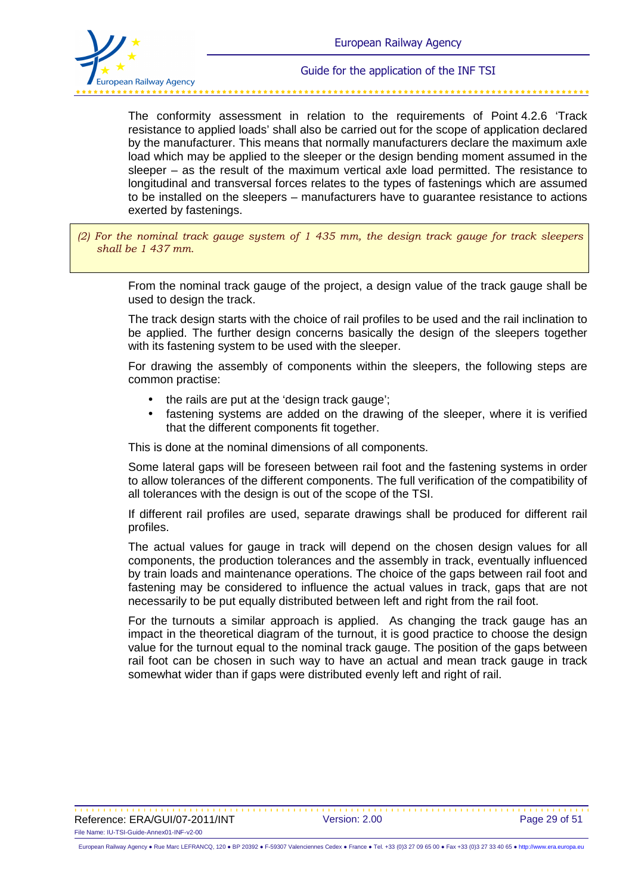

The conformity assessment in relation to the requirements of Point 4.2.6 'Track resistance to applied loads' shall also be carried out for the scope of application declared by the manufacturer. This means that normally manufacturers declare the maximum axle load which may be applied to the sleeper or the design bending moment assumed in the sleeper – as the result of the maximum vertical axle load permitted. The resistance to longitudinal and transversal forces relates to the types of fastenings which are assumed to be installed on the sleepers – manufacturers have to guarantee resistance to actions exerted by fastenings.

*(2) For the nominal track gauge system of 1 435 mm, the design track gauge for track sleepers shall be 1 437 mm.*

> From the nominal track gauge of the project, a design value of the track gauge shall be used to design the track.

> The track design starts with the choice of rail profiles to be used and the rail inclination to be applied. The further design concerns basically the design of the sleepers together with its fastening system to be used with the sleeper.

> For drawing the assembly of components within the sleepers, the following steps are common practise:

- the rails are put at the 'design track gauge';
- fastening systems are added on the drawing of the sleeper, where it is verified that the different components fit together.

This is done at the nominal dimensions of all components.

Some lateral gaps will be foreseen between rail foot and the fastening systems in order to allow tolerances of the different components. The full verification of the compatibility of all tolerances with the design is out of the scope of the TSI.

If different rail profiles are used, separate drawings shall be produced for different rail profiles.

The actual values for gauge in track will depend on the chosen design values for all components, the production tolerances and the assembly in track, eventually influenced by train loads and maintenance operations. The choice of the gaps between rail foot and fastening may be considered to influence the actual values in track, gaps that are not necessarily to be put equally distributed between left and right from the rail foot.

For the turnouts a similar approach is applied. As changing the track gauge has an impact in the theoretical diagram of the turnout, it is good practice to choose the design value for the turnout equal to the nominal track gauge. The position of the gaps between rail foot can be chosen in such way to have an actual and mean track gauge in track somewhat wider than if gaps were distributed evenly left and right of rail.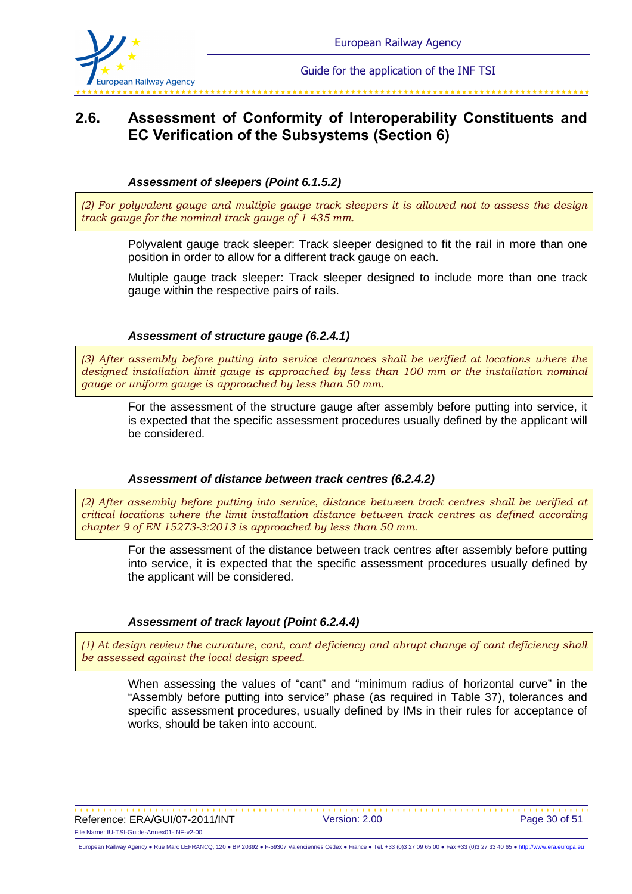

# **2.6. Assessment of Conformity of Interoperability Constituents and EC Verification of the Subsystems (Section 6)**

#### **Assessment of sleepers (Point 6.1.5.2)**

*(2) For polyvalent gauge and multiple gauge track sleepers it is allowed not to assess the design track gauge for the nominal track gauge of 1 435 mm.*

Polyvalent gauge track sleeper: Track sleeper designed to fit the rail in more than one position in order to allow for a different track gauge on each.

Multiple gauge track sleeper: Track sleeper designed to include more than one track gauge within the respective pairs of rails.

#### **Assessment of structure gauge (6.2.4.1)**

*(3) After assembly before putting into service clearances shall be verified at locations where the*  designed installation limit gauge is approached by less than 100 mm or the installation nominal *gauge or uniform gauge is approached by less than 50 mm.*

For the assessment of the structure gauge after assembly before putting into service, it is expected that the specific assessment procedures usually defined by the applicant will be considered.

#### **Assessment of distance between track centres (6.2.4.2)**

*(2) After assembly before putting into service, distance between track centres shall be verified at critical locations where the limit installation distance between track centres as defined according chapter 9 of EN 15273-3:2013 is approached by less than 50 mm.*

For the assessment of the distance between track centres after assembly before putting into service, it is expected that the specific assessment procedures usually defined by the applicant will be considered.

#### **Assessment of track layout (Point 6.2.4.4)**

*(1) At design review the curvature, cant, cant deficiency and abrupt change of cant deficiency shall be assessed against the local design speed.*

When assessing the values of "cant" and "minimum radius of horizontal curve" in the "Assembly before putting into service" phase (as required in Table 37), tolerances and specific assessment procedures, usually defined by IMs in their rules for acceptance of works, should be taken into account.

Reference: ERA/GUI/07-2011/INT Version: 2.00 Page 30 of 51 File Name: IU-TSI-Guide-Annex01-INF-v2-00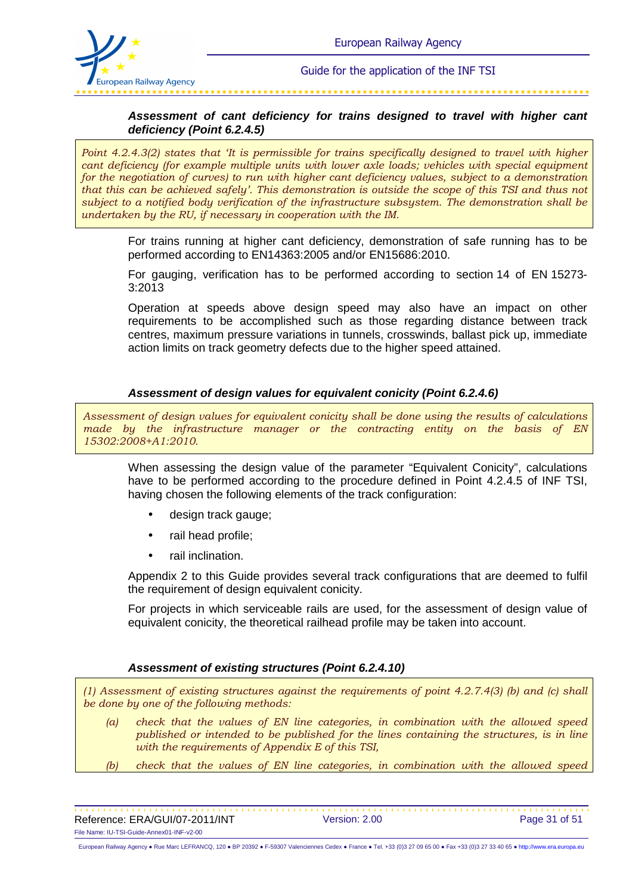

### **Assessment of cant deficiency for trains designed to travel with higher cant deficiency (Point 6.2.4.5)**

*Point 4.2.4.3(2) states that 'It is permissible for trains specifically designed to travel with higher cant deficiency (for example multiple units with lower axle loads; vehicles with special equipment for the negotiation of curves) to run with higher cant deficiency values, subject to a demonstration that this can be achieved safely'. This demonstration is outside the scope of this TSI and thus not subject to a notified body verification of the infrastructure subsystem. The demonstration shall be undertaken by the RU, if necessary in cooperation with the IM.*

For trains running at higher cant deficiency, demonstration of safe running has to be performed according to EN14363:2005 and/or EN15686:2010.

For gauging, verification has to be performed according to section 14 of EN 15273- 3:2013

Operation at speeds above design speed may also have an impact on other requirements to be accomplished such as those regarding distance between track centres, maximum pressure variations in tunnels, crosswinds, ballast pick up, immediate action limits on track geometry defects due to the higher speed attained.

#### **Assessment of design values for equivalent conicity (Point 6.2.4.6)**

*Assessment of design values for equivalent conicity shall be done using the results of calculations made by the infrastructure manager or the contracting entity on the basis of EN 15302:2008+A1:2010.*

When assessing the design value of the parameter "Equivalent Conicity", calculations have to be performed according to the procedure defined in Point 4.2.4.5 of INF TSI, having chosen the following elements of the track configuration:

- design track gauge;
- rail head profile;
- rail inclination.

Appendix 2 to this Guide provides several track configurations that are deemed to fulfil the requirement of design equivalent conicity.

For projects in which serviceable rails are used, for the assessment of design value of equivalent conicity, the theoretical railhead profile may be taken into account.

#### **Assessment of existing structures (Point 6.2.4.10)**

*(1) Assessment of existing structures against the requirements of point 4.2.7.4(3) (b) and (c) shall be done by one of the following methods:* 

- *(a) check that the values of EN line categories, in combination with the allowed speed published or intended to be published for the lines containing the structures, is in line with the requirements of Appendix E of this TSI,*
- *(b) check that the values of EN line categories, in combination with the allowed speed*

Reference: ERA/GUI/07-2011/INT Version: 2.00 Page 31 of 51 File Name: IU-TSI-Guide-Annex01-INF-v2-00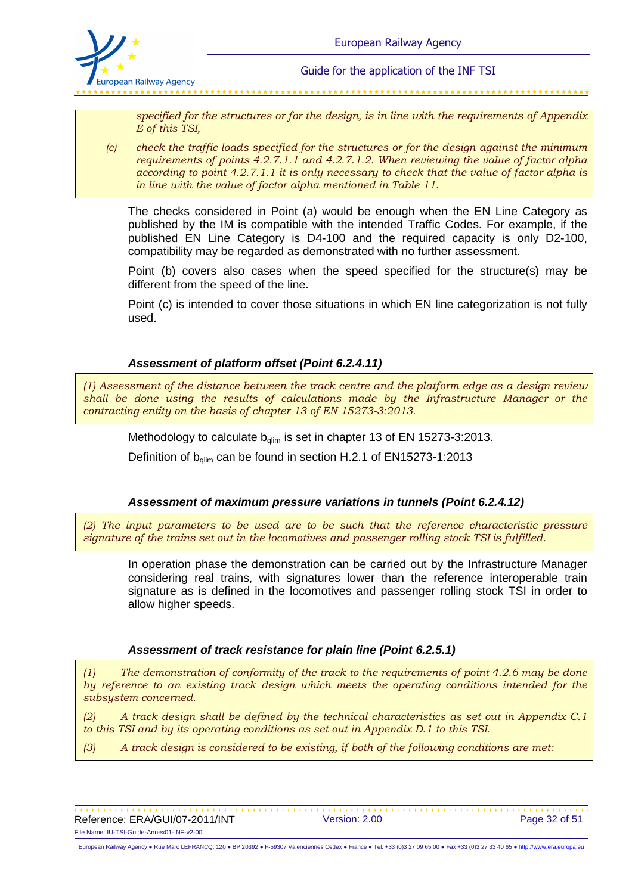

*specified for the structures or for the design, is in line with the requirements of Appendix E of this TSI,* 

*(c) check the traffic loads specified for the structures or for the design against the minimum requirements of points 4.2.7.1.1 and 4.2.7.1.2. When reviewing the value of factor alpha according to point 4.2.7.1.1 it is only necessary to check that the value of factor alpha is in line with the value of factor alpha mentioned in Table 11.* 

The checks considered in Point (a) would be enough when the EN Line Category as published by the IM is compatible with the intended Traffic Codes. For example, if the published EN Line Category is D4-100 and the required capacity is only D2-100, compatibility may be regarded as demonstrated with no further assessment.

Point (b) covers also cases when the speed specified for the structure(s) may be different from the speed of the line.

Point (c) is intended to cover those situations in which EN line categorization is not fully used.

**Assessment of platform offset (Point 6.2.4.11)** 

*(1) Assessment of the distance between the track centre and the platform edge as a design review shall be done using the results of calculations made by the Infrastructure Manager or the contracting entity on the basis of chapter 13 of EN 15273-3:2013.*

Methodology to calculate  $b_{\text{qlim}}$  is set in chapter 13 of EN 15273-3:2013.

Definition of  $b_{\text{dim}}$  can be found in section H.2.1 of EN15273-1:2013

**Assessment of maximum pressure variations in tunnels (Point 6.2.4.12)** 

*(2) The input parameters to be used are to be such that the reference characteristic pressure signature of the trains set out in the locomotives and passenger rolling stock TSI is fulfilled.*

In operation phase the demonstration can be carried out by the Infrastructure Manager considering real trains, with signatures lower than the reference interoperable train signature as is defined in the locomotives and passenger rolling stock TSI in order to allow higher speeds.

#### **Assessment of track resistance for plain line (Point 6.2.5.1)**

*(1) The demonstration of conformity of the track to the requirements of point 4.2.6 may be done by reference to an existing track design which meets the operating conditions intended for the subsystem concerned.* 

*(2) A track design shall be defined by the technical characteristics as set out in Appendix C.1 to this TSI and by its operating conditions as set out in Appendix D.1 to this TSI.* 

*(3) A track design is considered to be existing, if both of the following conditions are met:*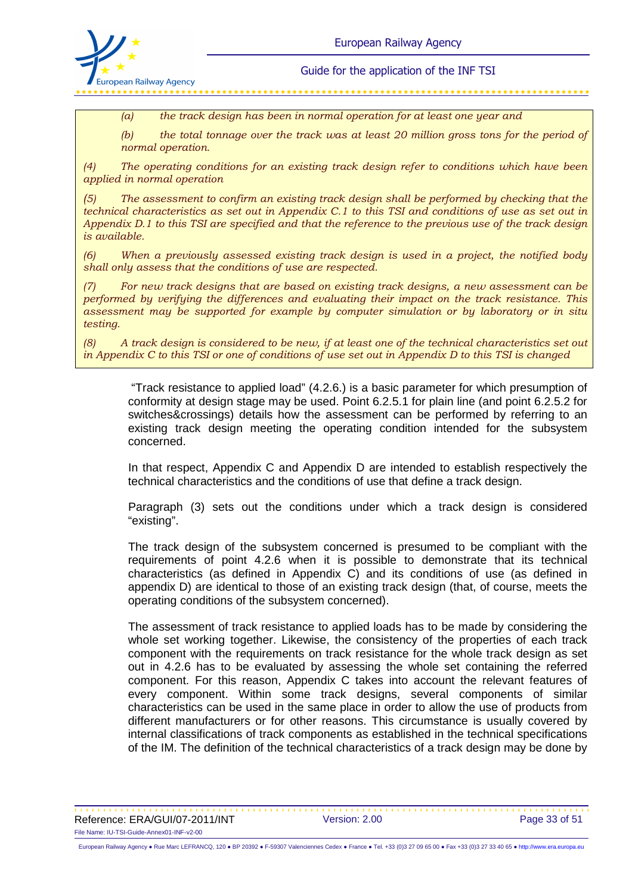

*(a) the track design has been in normal operation for at least one year and*

*(b) the total tonnage over the track was at least 20 million gross tons for the period of normal operation.* 

*(4) The operating conditions for an existing track design refer to conditions which have been applied in normal operation* 

*(5) The assessment to confirm an existing track design shall be performed by checking that the technical characteristics as set out in Appendix C.1 to this TSI and conditions of use as set out in Appendix D.1 to this TSI are specified and that the reference to the previous use of the track design is available.* 

*(6) When a previously assessed existing track design is used in a project, the notified body shall only assess that the conditions of use are respected.* 

*(7) For new track designs that are based on existing track designs, a new assessment can be performed by verifying the differences and evaluating their impact on the track resistance. This assessment may be supported for example by computer simulation or by laboratory or in situ testing.* 

*(8) A track design is considered to be new, if at least one of the technical characteristics set out in Appendix C to this TSI or one of conditions of use set out in Appendix D to this TSI is changed*

 "Track resistance to applied load" (4.2.6.) is a basic parameter for which presumption of conformity at design stage may be used. Point 6.2.5.1 for plain line (and point 6.2.5.2 for switches&crossings) details how the assessment can be performed by referring to an existing track design meeting the operating condition intended for the subsystem concerned.

In that respect, Appendix C and Appendix D are intended to establish respectively the technical characteristics and the conditions of use that define a track design.

Paragraph (3) sets out the conditions under which a track design is considered "existing".

The track design of the subsystem concerned is presumed to be compliant with the requirements of point 4.2.6 when it is possible to demonstrate that its technical characteristics (as defined in Appendix C) and its conditions of use (as defined in appendix D) are identical to those of an existing track design (that, of course, meets the operating conditions of the subsystem concerned).

The assessment of track resistance to applied loads has to be made by considering the whole set working together. Likewise, the consistency of the properties of each track component with the requirements on track resistance for the whole track design as set out in 4.2.6 has to be evaluated by assessing the whole set containing the referred component. For this reason, Appendix C takes into account the relevant features of every component. Within some track designs, several components of similar characteristics can be used in the same place in order to allow the use of products from different manufacturers or for other reasons. This circumstance is usually covered by internal classifications of track components as established in the technical specifications of the IM. The definition of the technical characteristics of a track design may be done by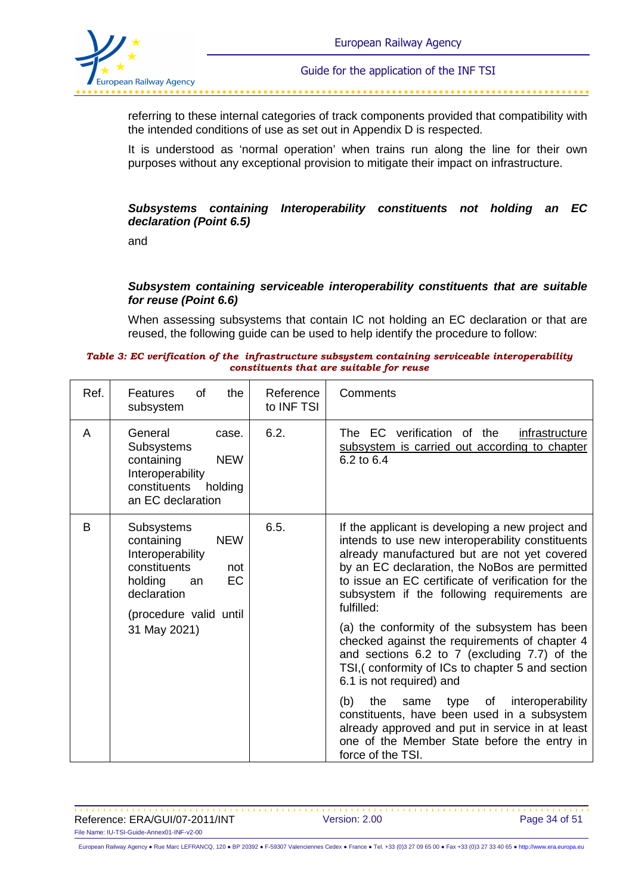

referring to these internal categories of track components provided that compatibility with the intended conditions of use as set out in Appendix D is respected.

It is understood as 'normal operation' when trains run along the line for their own purposes without any exceptional provision to mitigate their impact on infrastructure.

#### **Subsystems containing Interoperability constituents not holding an EC declaration (Point 6.5)**

and

#### **Subsystem containing serviceable interoperability constituents that are suitable for reuse (Point 6.6)**

When assessing subsystems that contain IC not holding an EC declaration or that are reused, the following guide can be used to help identify the procedure to follow:

#### *Table 3: EC verification of the infrastructure subsystem containing serviceable interoperability constituents that are suitable for reuse*

| Ref. | <b>Features</b><br>0f<br>the<br>subsystem                                                                                                                                | Reference<br>to INF TSI | Comments                                                                                                                                                                                                                                                                                                                                                                                                                                                                                                                                                  |
|------|--------------------------------------------------------------------------------------------------------------------------------------------------------------------------|-------------------------|-----------------------------------------------------------------------------------------------------------------------------------------------------------------------------------------------------------------------------------------------------------------------------------------------------------------------------------------------------------------------------------------------------------------------------------------------------------------------------------------------------------------------------------------------------------|
| A    | General<br>case.<br><b>Subsystems</b><br>containing<br><b>NEW</b><br>Interoperability<br>constituents<br>holding<br>an EC declaration                                    | 6.2.                    | The EC verification of the<br>infrastructure<br>subsystem is carried out according to chapter<br>6.2 to 6.4                                                                                                                                                                                                                                                                                                                                                                                                                                               |
| B    | <b>Subsystems</b><br>containing<br><b>NEW</b><br>Interoperability<br>constituents<br>not<br>EC<br>holding<br>an<br>declaration<br>(procedure valid until<br>31 May 2021) | 6.5.                    | If the applicant is developing a new project and<br>intends to use new interoperability constituents<br>already manufactured but are not yet covered<br>by an EC declaration, the NoBos are permitted<br>to issue an EC certificate of verification for the<br>subsystem if the following requirements are<br>fulfilled:<br>(a) the conformity of the subsystem has been<br>checked against the requirements of chapter 4<br>and sections 6.2 to 7 (excluding 7.7) of the<br>TSI, (conformity of ICs to chapter 5 and section<br>6.1 is not required) and |
|      |                                                                                                                                                                          |                         | (b)<br>interoperability<br>the<br>type of<br>same<br>constituents, have been used in a subsystem<br>already approved and put in service in at least<br>one of the Member State before the entry in<br>force of the TSI.                                                                                                                                                                                                                                                                                                                                   |

Reference: ERA/GUI/07-2011/INT Version: 2.00 Page 34 of 51 File Name: IU-TSI-Guide-Annex01-INF-v2-00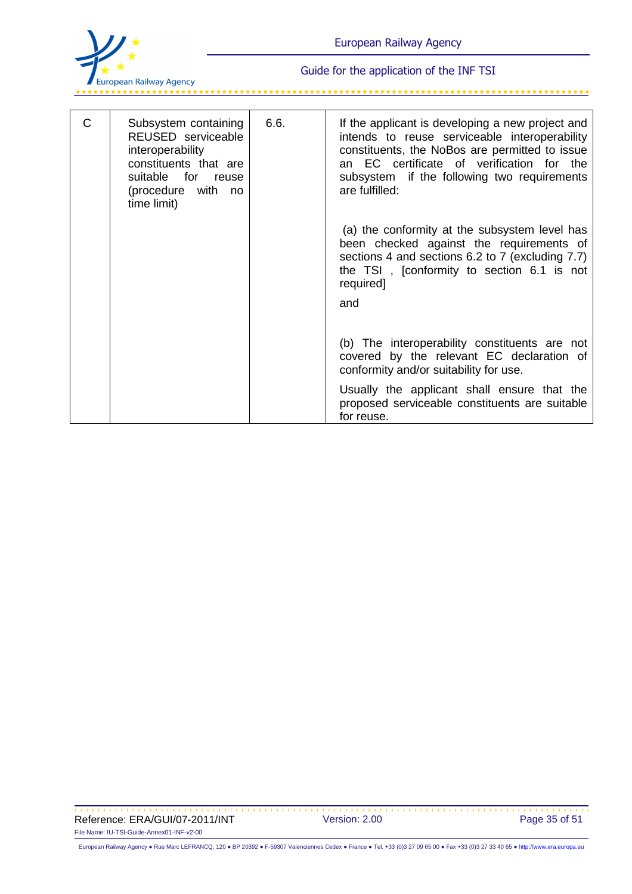

للمستوقف المستوقف المستوقف المستوقف المستوقف

| C | Subsystem containing<br>REUSED serviceable<br>interoperability<br>constituents that are<br>suitable for<br>reuse<br>(procedure with<br>no<br>time limit) | 6.6. | If the applicant is developing a new project and<br>intends to reuse serviceable interoperability<br>constituents, the NoBos are permitted to issue<br>an EC certificate of verification for the<br>subsystem if the following two requirements<br>are fulfilled: |
|---|----------------------------------------------------------------------------------------------------------------------------------------------------------|------|-------------------------------------------------------------------------------------------------------------------------------------------------------------------------------------------------------------------------------------------------------------------|
|   |                                                                                                                                                          |      | (a) the conformity at the subsystem level has<br>been checked against the requirements of<br>sections 4 and sections 6.2 to 7 (excluding 7.7)<br>the TSI, [conformity to section 6.1 is not<br>required]<br>and                                                   |
|   |                                                                                                                                                          |      | (b) The interoperability constituents are not<br>covered by the relevant EC declaration of<br>conformity and/or suitability for use.                                                                                                                              |
|   |                                                                                                                                                          |      | Usually the applicant shall ensure that the<br>proposed serviceable constituents are suitable<br>for reuse.                                                                                                                                                       |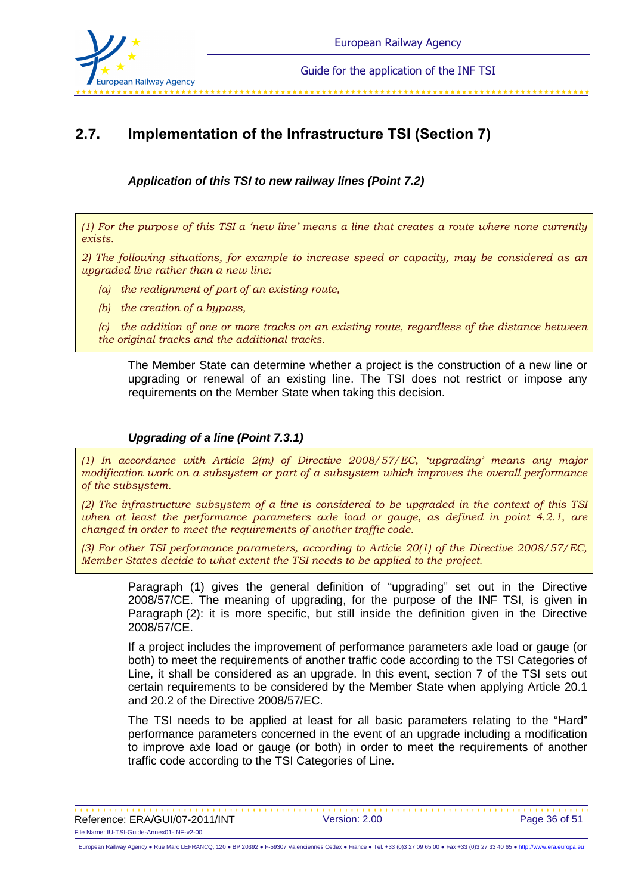

# **2.7. Implementation of the Infrastructure TSI (Section 7)**

**Application of this TSI to new railway lines (Point 7.2)** 

*(1) For the purpose of this TSI a 'new line' means a line that creates a route where none currently exists.* 

*2) The following situations, for example to increase speed or capacity, may be considered as an upgraded line rather than a new line:* 

- *(a) the realignment of part of an existing route,*
- *(b) the creation of a bypass,*

*(c) the addition of one or more tracks on an existing route, regardless of the distance between the original tracks and the additional tracks.*

The Member State can determine whether a project is the construction of a new line or upgrading or renewal of an existing line. The TSI does not restrict or impose any requirements on the Member State when taking this decision.

### **Upgrading of a line (Point 7.3.1)**

*(1) In accordance with Article 2(m) of Directive 2008/57/EC, 'upgrading' means any major modification work on a subsystem or part of a subsystem which improves the overall performance of the subsystem.* 

*(2) The infrastructure subsystem of a line is considered to be upgraded in the context of this TSI when at least the performance parameters axle load or gauge, as defined in point 4.2.1, are changed in order to meet the requirements of another traffic code.* 

*(3) For other TSI performance parameters, according to Article 20(1) of the Directive 2008/57/EC, Member States decide to what extent the TSI needs to be applied to the project.*

Paragraph (1) gives the general definition of "upgrading" set out in the Directive 2008/57/CE. The meaning of upgrading, for the purpose of the INF TSI, is given in Paragraph (2): it is more specific, but still inside the definition given in the Directive 2008/57/CE.

If a project includes the improvement of performance parameters axle load or gauge (or both) to meet the requirements of another traffic code according to the TSI Categories of Line, it shall be considered as an upgrade. In this event, section 7 of the TSI sets out certain requirements to be considered by the Member State when applying Article 20.1 and 20.2 of the Directive 2008/57/EC.

The TSI needs to be applied at least for all basic parameters relating to the "Hard" performance parameters concerned in the event of an upgrade including a modification to improve axle load or gauge (or both) in order to meet the requirements of another traffic code according to the TSI Categories of Line.

Reference: ERA/GUI/07-2011/INT Version: 2.00 Page 36 of 51 File Name: IU-TSI-Guide-Annex01-INF-v2-00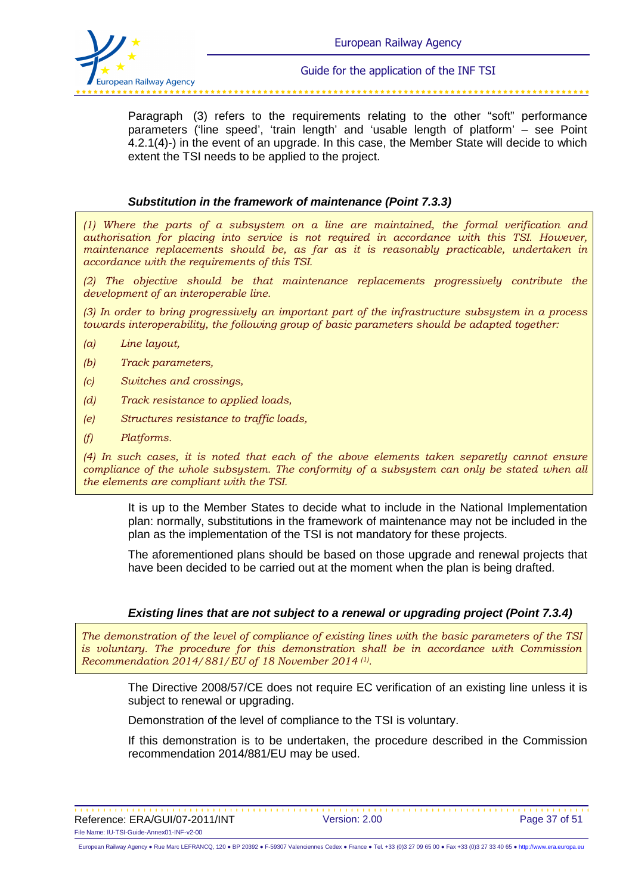

Paragraph (3) refers to the requirements relating to the other "soft" performance parameters ('line speed', 'train length' and 'usable length of platform' – see Point 4.2.1(4)-) in the event of an upgrade. In this case, the Member State will decide to which extent the TSI needs to be applied to the project.

#### **Substitution in the framework of maintenance (Point 7.3.3)**

*(1) Where the parts of a subsystem on a line are maintained, the formal verification and authorisation for placing into service is not required in accordance with this TSI. However, maintenance replacements should be, as far as it is reasonably practicable, undertaken in accordance with the requirements of this TSI.* 

*(2) The objective should be that maintenance replacements progressively contribute the development of an interoperable line.* 

*(3) In order to bring progressively an important part of the infrastructure subsystem in a process towards interoperability, the following group of basic parameters should be adapted together:* 

- *(a) Line layout,*
- *(b) Track parameters,*
- *(c) Switches and crossings,*
- *(d) Track resistance to applied loads,*
- *(e) Structures resistance to traffic loads,*
- *(f) Platforms.*

*(4) In such cases, it is noted that each of the above elements taken separetly cannot ensure compliance of the whole subsystem. The conformity of a subsystem can only be stated when all the elements are compliant with the TSI.*

It is up to the Member States to decide what to include in the National Implementation plan: normally, substitutions in the framework of maintenance may not be included in the plan as the implementation of the TSI is not mandatory for these projects.

The aforementioned plans should be based on those upgrade and renewal projects that have been decided to be carried out at the moment when the plan is being drafted.

#### **Existing lines that are not subject to a renewal or upgrading project (Point 7.3.4)**

*The demonstration of the level of compliance of existing lines with the basic parameters of the TSI is voluntary. The procedure for this demonstration shall be in accordance with Commission Recommendation 2014/881/EU of 18 November 2014 (1) .*

The Directive 2008/57/CE does not require EC verification of an existing line unless it is subject to renewal or upgrading.

Demonstration of the level of compliance to the TSI is voluntary.

If this demonstration is to be undertaken, the procedure described in the Commission recommendation 2014/881/EU may be used.

Reference: ERA/GUI/07-2011/INT Version: 2.00 Page 37 of 51 File Name: IU-TSI-Guide-Annex01-INF-v2-00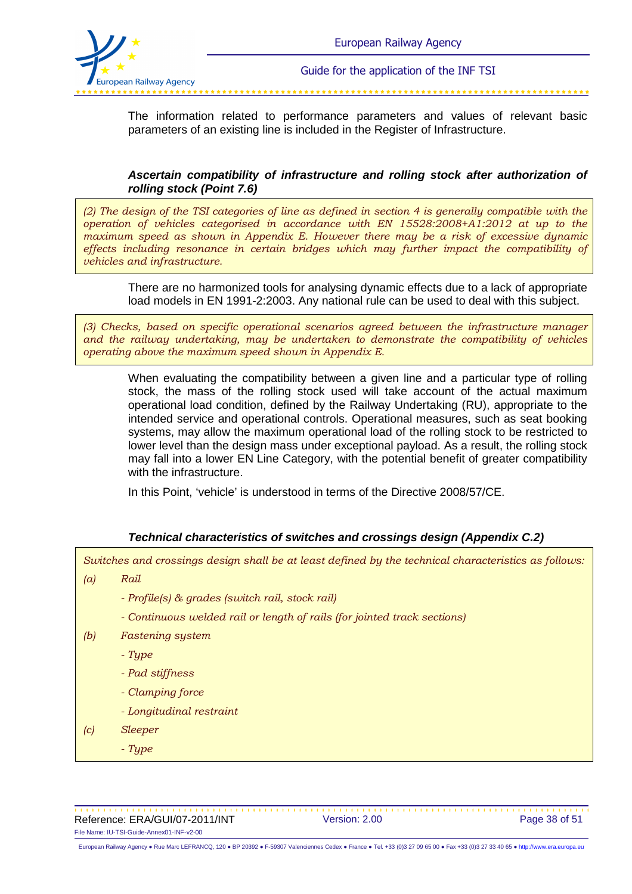

The information related to performance parameters and values of relevant basic parameters of an existing line is included in the Register of Infrastructure.

### **Ascertain compatibility of infrastructure and rolling stock after authorization of rolling stock (Point 7.6)**

*(2) The design of the TSI categories of line as defined in section 4 is generally compatible with the operation of vehicles categorised in accordance with EN 15528:2008+A1:2012 at up to the maximum speed as shown in Appendix E. However there may be a risk of excessive dynamic effects including resonance in certain bridges which may further impact the compatibility of vehicles and infrastructure.*

There are no harmonized tools for analysing dynamic effects due to a lack of appropriate load models in EN 1991-2:2003. Any national rule can be used to deal with this subject.

*(3) Checks, based on specific operational scenarios agreed between the infrastructure manager and the railway undertaking, may be undertaken to demonstrate the compatibility of vehicles operating above the maximum speed shown in Appendix E.*

When evaluating the compatibility between a given line and a particular type of rolling stock, the mass of the rolling stock used will take account of the actual maximum operational load condition, defined by the Railway Undertaking (RU), appropriate to the intended service and operational controls. Operational measures, such as seat booking systems, may allow the maximum operational load of the rolling stock to be restricted to lower level than the design mass under exceptional payload. As a result, the rolling stock may fall into a lower EN Line Category, with the potential benefit of greater compatibility with the infrastructure.

In this Point, 'vehicle' is understood in terms of the Directive 2008/57/CE.

#### **Technical characteristics of switches and crossings design (Appendix C.2)**

*Switches and crossings design shall be at least defined by the technical characteristics as follows:* 

- *(a) Rail* 
	- *Profile(s) & grades (switch rail, stock rail)*
	- *Continuous welded rail or length of rails (for jointed track sections)*
- *(b) Fastening system* 
	- *Type*
	- *Pad stiffness*
	- *Clamping force*
	- *Longitudinal restraint*
- *(c) Sleeper* 
	- *Type*

Reference: ERA/GUI/07-2011/INT Version: 2.00 Page 38 of 51 File Name: IU-TSI-Guide-Annex01-INF-v2-00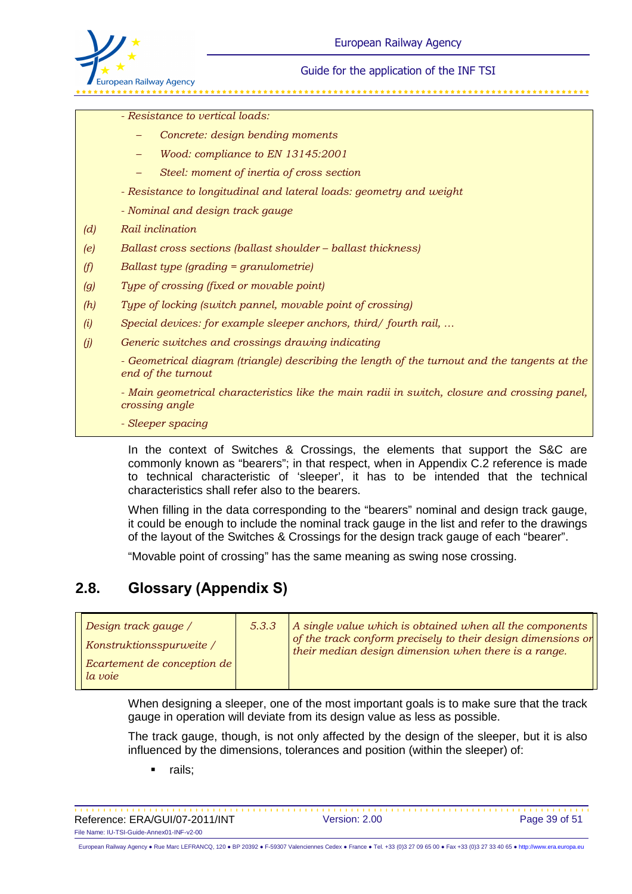

*- Resistance to vertical loads:* 

- *Concrete: design bending moments*
- *Wood: compliance to EN 13145:2001*
- *Steel: moment of inertia of cross section*
- *Resistance to longitudinal and lateral loads: geometry and weight*
- *Nominal and design track gauge*
- *(d) Rail inclination*
- *(e) Ballast cross sections (ballast shoulder ballast thickness)*
- *(f) Ballast type (grading = granulometrie)*
- *(g) Type of crossing (fixed or movable point)*
- *(h) Type of locking (switch pannel, movable point of crossing)*
- *(i) Special devices: for example sleeper anchors, third/ fourth rail, …*
- *(j) Generic switches and crossings drawing indicating*

*- Geometrical diagram (triangle) describing the length of the turnout and the tangents at the end of the turnout* 

*- Main geometrical characteristics like the main radii in switch, closure and crossing panel, crossing angle* 

*- Sleeper spacing*

In the context of Switches & Crossings, the elements that support the S&C are commonly known as "bearers"; in that respect, when in Appendix C.2 reference is made to technical characteristic of 'sleeper', it has to be intended that the technical characteristics shall refer also to the bearers.

When filling in the data corresponding to the "bearers" nominal and design track gauge, it could be enough to include the nominal track gauge in the list and refer to the drawings of the layout of the Switches & Crossings for the design track gauge of each "bearer".

"Movable point of crossing" has the same meaning as swing nose crossing.

# **2.8. Glossary (Appendix S)**

| Design track gauge /                   | 5.3.3 | A single value which is obtained when all the components                                                             |
|----------------------------------------|-------|----------------------------------------------------------------------------------------------------------------------|
| Konstruktionsspurweite /               |       | of the track conform precisely to their design dimensions or<br>their median design dimension when there is a range. |
| Ecartement de conception de<br>la voie |       |                                                                                                                      |

When designing a sleeper, one of the most important goals is to make sure that the track gauge in operation will deviate from its design value as less as possible.

The track gauge, though, is not only affected by the design of the sleeper, but it is also influenced by the dimensions, tolerances and position (within the sleeper) of:

rails;

Reference: ERA/GUI/07-2011/INT Version: 2.00 Page 39 of 51 File Name: IU-TSI-Guide-Annex01-INF-v2-00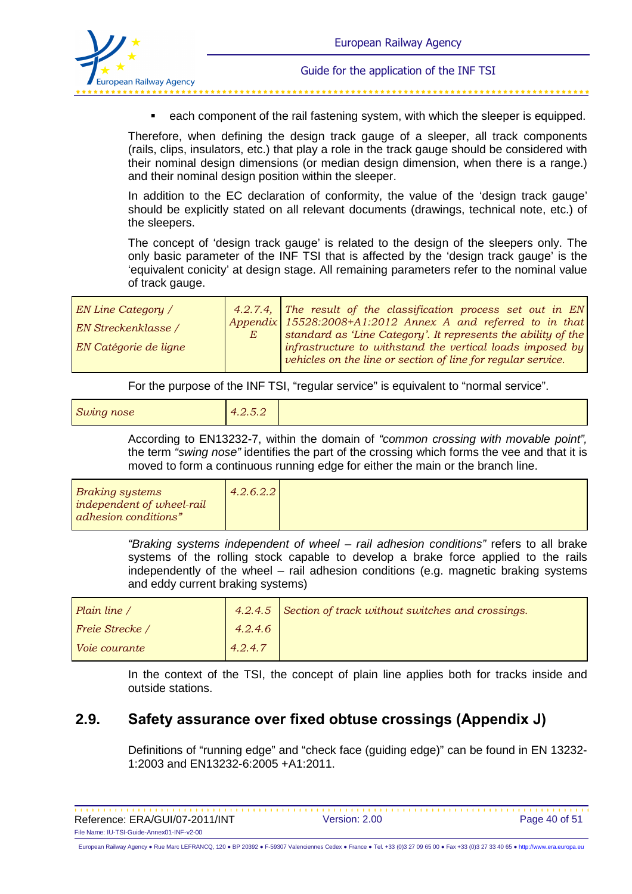

each component of the rail fastening system, with which the sleeper is equipped.

Therefore, when defining the design track gauge of a sleeper, all track components (rails, clips, insulators, etc.) that play a role in the track gauge should be considered with their nominal design dimensions (or median design dimension, when there is a range.) and their nominal design position within the sleeper.

In addition to the EC declaration of conformity, the value of the 'design track gauge' should be explicitly stated on all relevant documents (drawings, technical note, etc.) of the sleepers.

The concept of 'design track gauge' is related to the design of the sleepers only. The only basic parameter of the INF TSI that is affected by the 'design track gauge' is the 'equivalent conicity' at design stage. All remaining parameters refer to the nominal value of track gauge.

| EN Line Category /    | 4.2.7.4, The result of the classification process set out in $EN$                                                          |
|-----------------------|----------------------------------------------------------------------------------------------------------------------------|
| EN Streckenklasse /   | Appendix 15528:2008+A1:2012 Annex A and referred to in that                                                                |
| EN Catégorie de ligne | standard as 'Line Category'. It represents the ability of the<br>infrastructure to withstand the vertical loads imposed by |
|                       | vehicles on the line or section of line for regular service.                                                               |

For the purpose of the INF TSI, "regular service" is equivalent to "normal service".

| Swing nose |
|------------|
|------------|

According to EN13232-7, within the domain of "common crossing with movable point", the term "swing nose" identifies the part of the crossing which forms the vee and that it is moved to form a continuous running edge for either the main or the branch line.

| 4.2.6.2.2<br><i>Braking systems</i><br>independent of wheel-rail<br>adhesion conditions" |  |  |
|------------------------------------------------------------------------------------------|--|--|
|------------------------------------------------------------------------------------------|--|--|

"Braking systems independent of wheel – rail adhesion conditions" refers to all brake systems of the rolling stock capable to develop a brake force applied to the rails independently of the wheel – rail adhesion conditions (e.g. magnetic braking systems and eddy current braking systems)

| Plain line /           |         | 4.2.4.5 Section of track without switches and crossings. |
|------------------------|---------|----------------------------------------------------------|
| <b>Freie Strecke</b> / | 4.2.4.6 |                                                          |
| <i>Voie courante</i>   | 4.2.4.7 |                                                          |

In the context of the TSI, the concept of plain line applies both for tracks inside and outside stations.

# **2.9. Safety assurance over fixed obtuse crossings (Appendix J)**

Definitions of "running edge" and "check face (guiding edge)" can be found in EN 13232- 1:2003 and EN13232-6:2005 +A1:2011.

| Reference: ERA/GUI/07-2011/INT            | Version: 2.00 | Page 40 of 51 |
|-------------------------------------------|---------------|---------------|
| File Name: IU-TSI-Guide-Annex01-INF-v2-00 |               |               |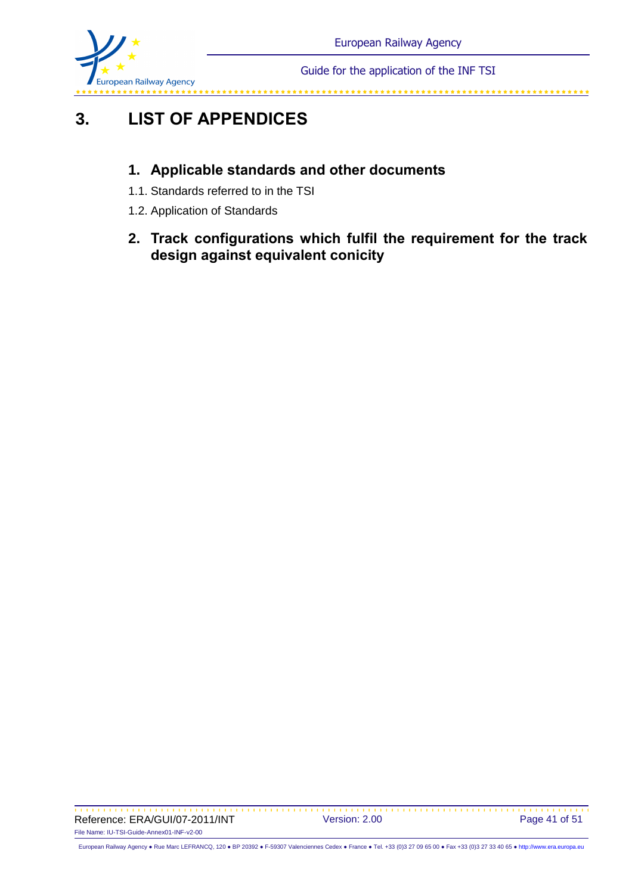

# **3. LIST OF APPENDICES**

# **1. Applicable standards and other documents**

- 1.1. Standards referred to in the TSI
- 1.2. Application of Standards
- **2. Track configurations which fulfil the requirement for the track design against equivalent conicity**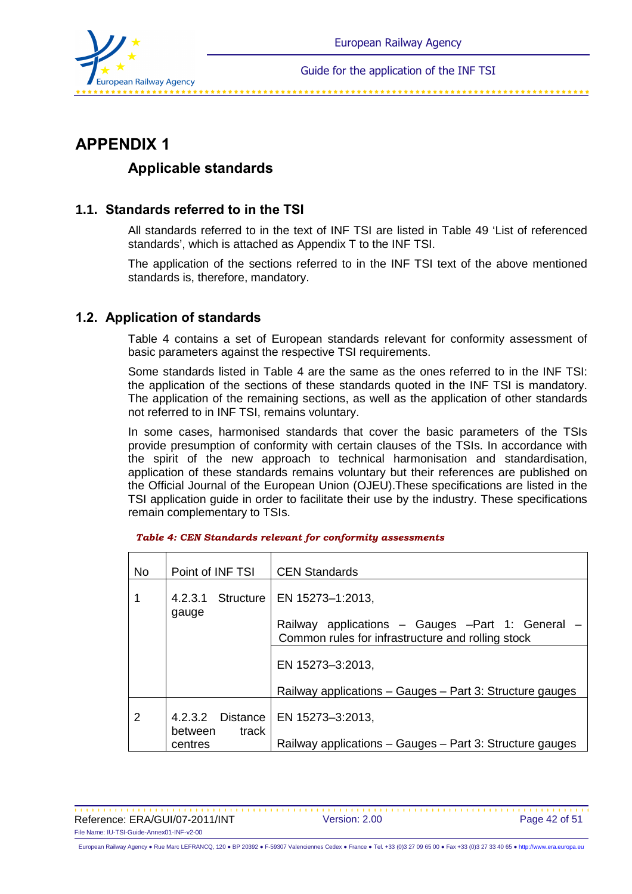

# **APPENDIX 1**

## **Applicable standards**

## **1.1. Standards referred to in the TSI**

All standards referred to in the text of INF TSI are listed in Table 49 'List of referenced standards', which is attached as Appendix T to the INF TSI.

The application of the sections referred to in the INF TSI text of the above mentioned standards is, therefore, mandatory.

### **1.2. Application of standards**

Table 4 contains a set of European standards relevant for conformity assessment of basic parameters against the respective TSI requirements.

Some standards listed in Table 4 are the same as the ones referred to in the INF TSI: the application of the sections of these standards quoted in the INF TSI is mandatory. The application of the remaining sections, as well as the application of other standards not referred to in INF TSI, remains voluntary.

In some cases, harmonised standards that cover the basic parameters of the TSIs provide presumption of conformity with certain clauses of the TSIs. In accordance with the spirit of the new approach to technical harmonisation and standardisation, application of these standards remains voluntary but their references are published on the Official Journal of the European Union (OJEU).These specifications are listed in the TSI application guide in order to facilitate their use by the industry. These specifications remain complementary to TSIs.

| <b>No</b> | Point of INF TSI                                | <b>CEN Standards</b>                                                                                                    |
|-----------|-------------------------------------------------|-------------------------------------------------------------------------------------------------------------------------|
|           | 4.2.3.1 Structure<br>gauge                      | EN 15273–1:2013,<br>Railway applications - Gauges -Part 1: General<br>Common rules for infrastructure and rolling stock |
|           |                                                 | EN 15273-3:2013,<br>Railway applications - Gauges - Part 3: Structure gauges                                            |
| 2         | 4.2.3.2 Distance<br>track<br>between<br>centres | EN 15273-3:2013,<br>Railway applications - Gauges - Part 3: Structure gauges                                            |

|  |  | Table 4: CEN Standards relevant for conformity assessments |
|--|--|------------------------------------------------------------|
|  |  |                                                            |

Reference: ERA/GUI/07-2011/INT Version: 2.00 Page 42 of 51 File Name: IU-TSI-Guide-Annex01-INF-v2-00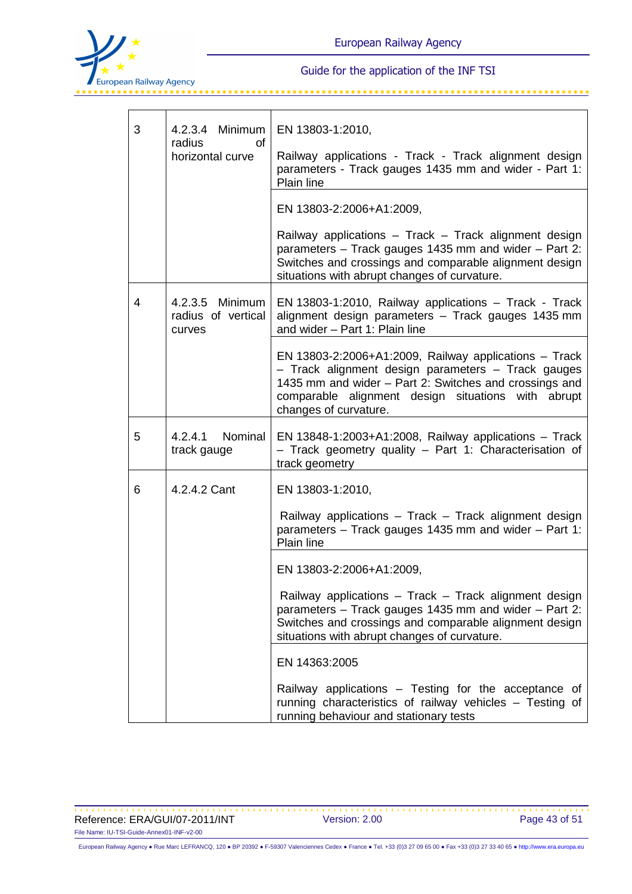

| 3 | 4.2.3.4 Minimum<br>radius<br>Ωf<br>horizontal curve | EN 13803-1:2010,<br>Railway applications - Track - Track alignment design<br>parameters - Track gauges 1435 mm and wider - Part 1:<br>Plain line<br>EN 13803-2:2006+A1:2009,<br>Railway applications - Track - Track alignment design                  |
|---|-----------------------------------------------------|--------------------------------------------------------------------------------------------------------------------------------------------------------------------------------------------------------------------------------------------------------|
|   |                                                     | parameters - Track gauges 1435 mm and wider - Part 2:<br>Switches and crossings and comparable alignment design<br>situations with abrupt changes of curvature.                                                                                        |
| 4 | 4.2.3.5 Minimum<br>radius of vertical<br>curves     | EN 13803-1:2010, Railway applications - Track - Track<br>alignment design parameters - Track gauges 1435 mm<br>and wider - Part 1: Plain line                                                                                                          |
|   |                                                     | EN 13803-2:2006+A1:2009, Railway applications $-$ Track<br>- Track alignment design parameters - Track gauges<br>1435 mm and wider - Part 2: Switches and crossings and<br>comparable alignment design situations with abrupt<br>changes of curvature. |
| 5 | 4.2.4.1 Nominal<br>track gauge                      | EN 13848-1:2003+A1:2008, Railway applications $-$ Track<br>- Track geometry quality - Part 1: Characterisation of<br>track geometry                                                                                                                    |
| 6 | 4.2.4.2 Cant                                        | EN 13803-1:2010,                                                                                                                                                                                                                                       |
|   |                                                     | Railway applications - Track - Track alignment design<br>parameters - Track gauges 1435 mm and wider - Part 1:<br>Plain line                                                                                                                           |
|   |                                                     | EN 13803-2:2006+A1:2009,                                                                                                                                                                                                                               |
|   |                                                     | Railway applications - Track - Track alignment design<br>parameters - Track gauges 1435 mm and wider - Part 2:<br>Switches and crossings and comparable alignment design<br>situations with abrupt changes of curvature.                               |
|   |                                                     | EN 14363:2005                                                                                                                                                                                                                                          |
|   |                                                     | Railway applications – Testing for the acceptance of<br>running characteristics of railway vehicles - Testing of<br>running behaviour and stationary tests                                                                                             |

Reference: ERA/GUI/07-2011/INT Version: 2.00 Page 43 of 51 File Name: IU-TSI-Guide-Annex01-INF-v2-00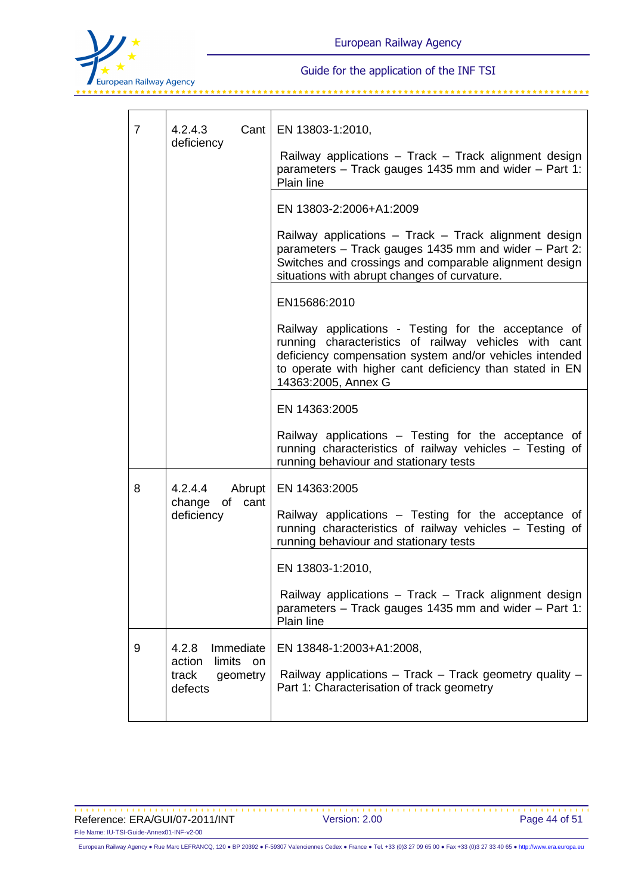

| 7 | Cant<br>4.2.4.3<br>deficiency                                                           | EN 13803-1:2010,<br>Railway applications - Track - Track alignment design<br>parameters - Track gauges 1435 mm and wider - Part 1:<br>Plain line                                                                                                            |
|---|-----------------------------------------------------------------------------------------|-------------------------------------------------------------------------------------------------------------------------------------------------------------------------------------------------------------------------------------------------------------|
|   |                                                                                         | EN 13803-2:2006+A1:2009                                                                                                                                                                                                                                     |
|   |                                                                                         | Railway applications - Track - Track alignment design<br>parameters - Track gauges 1435 mm and wider - Part 2:<br>Switches and crossings and comparable alignment design<br>situations with abrupt changes of curvature.                                    |
|   |                                                                                         | EN15686:2010                                                                                                                                                                                                                                                |
|   |                                                                                         | Railway applications - Testing for the acceptance of<br>running characteristics of railway vehicles with cant<br>deficiency compensation system and/or vehicles intended<br>to operate with higher cant deficiency than stated in EN<br>14363:2005, Annex G |
|   |                                                                                         | EN 14363:2005                                                                                                                                                                                                                                               |
|   |                                                                                         | Railway applications - Testing for the acceptance of<br>running characteristics of railway vehicles - Testing of<br>running behaviour and stationary tests                                                                                                  |
| 8 | 4.2.4.4<br>Abrupt<br>of<br>change<br>cant<br>deficiency                                 | EN 14363:2005                                                                                                                                                                                                                                               |
|   |                                                                                         | Railway applications – Testing for the acceptance of<br>running characteristics of railway vehicles - Testing of<br>running behaviour and stationary tests                                                                                                  |
|   |                                                                                         | EN 13803-1:2010,                                                                                                                                                                                                                                            |
|   |                                                                                         | Railway applications - Track - Track alignment design<br>parameters - Track gauges 1435 mm and wider - Part 1:<br>Plain line                                                                                                                                |
| 9 | 4.2.8<br>Immediate<br>limits<br>action<br><sub>on</sub><br>track<br>geometry<br>defects | EN 13848-1:2003+A1:2008,<br>Railway applications - Track - Track geometry quality -<br>Part 1: Characterisation of track geometry                                                                                                                           |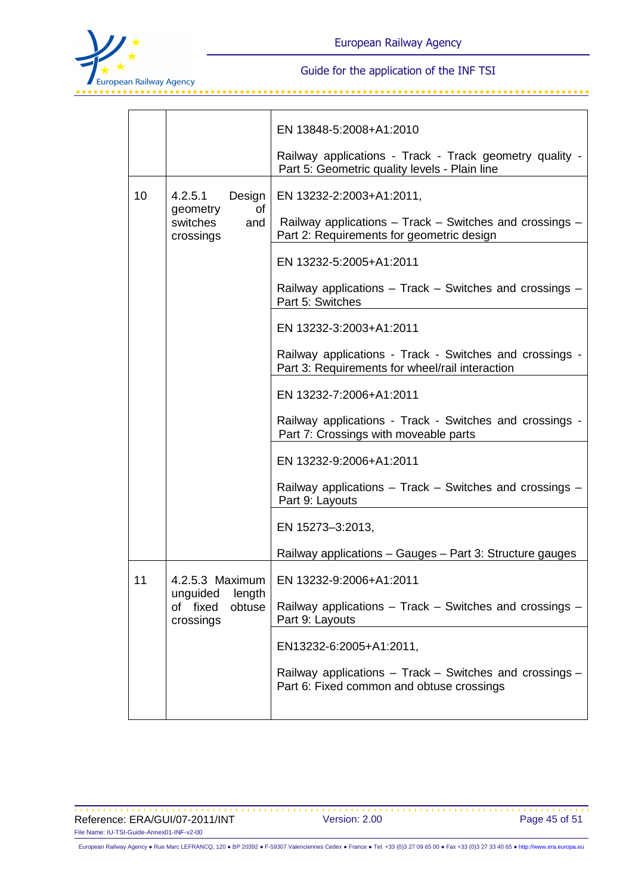

|    |                                     | EN 13848-5:2008+A1:2010                                                                                    |  |  |
|----|-------------------------------------|------------------------------------------------------------------------------------------------------------|--|--|
|    |                                     | Railway applications - Track - Track geometry quality -<br>Part 5: Geometric quality levels - Plain line   |  |  |
| 10 | 4.2.5.1<br>Design<br>geometry<br>0f | EN 13232-2:2003+A1:2011,                                                                                   |  |  |
|    | switches<br>and<br>crossings        | Railway applications - Track - Switches and crossings -<br>Part 2: Requirements for geometric design       |  |  |
|    |                                     | EN 13232-5:2005+A1:2011                                                                                    |  |  |
|    |                                     | Railway applications – Track – Switches and crossings –<br>Part 5: Switches                                |  |  |
|    |                                     | EN 13232-3:2003+A1:2011                                                                                    |  |  |
|    |                                     | Railway applications - Track - Switches and crossings -<br>Part 3: Requirements for wheel/rail interaction |  |  |
|    |                                     | EN 13232-7:2006+A1:2011                                                                                    |  |  |
|    |                                     | Railway applications - Track - Switches and crossings -<br>Part 7: Crossings with moveable parts           |  |  |
|    |                                     | EN 13232-9:2006+A1:2011                                                                                    |  |  |
|    |                                     | Railway applications - Track - Switches and crossings -<br>Part 9: Layouts                                 |  |  |
|    |                                     | EN 15273-3:2013,                                                                                           |  |  |
|    |                                     | Railway applications - Gauges - Part 3: Structure gauges                                                   |  |  |
| 11 | unguided length                     | 4.2.5.3 Maximum   EN 13232-9:2006+A1:2011                                                                  |  |  |
|    | of fixed<br>obtuse<br>crossings     | Railway applications - Track - Switches and crossings -<br>Part 9: Layouts                                 |  |  |
|    |                                     | EN13232-6:2005+A1:2011,                                                                                    |  |  |
|    |                                     | Railway applications - Track - Switches and crossings -<br>Part 6: Fixed common and obtuse crossings       |  |  |
|    |                                     |                                                                                                            |  |  |

Reference: ERA/GUI/07-2011/INT Version: 2.00 Page 45 of 51 File Name: IU-TSI-Guide-Annex01-INF-v2-00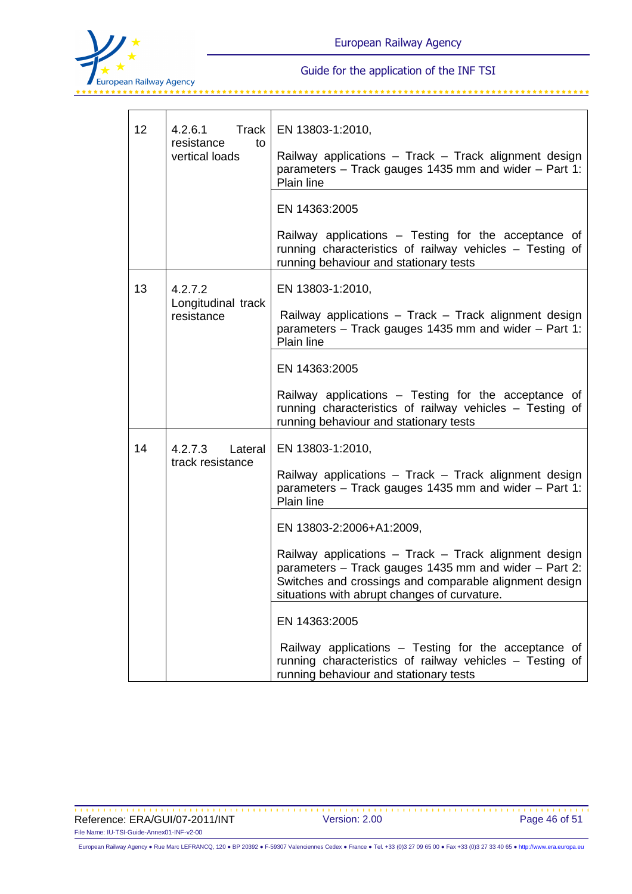

| 12 | Track<br>4.2.6.1<br>resistance<br>to<br>vertical loads | EN 13803-1:2010,<br>Railway applications - Track - Track alignment design<br>parameters – Track gauges 1435 mm and wider – Part 1:<br><b>Plain line</b>                                                                  |
|----|--------------------------------------------------------|--------------------------------------------------------------------------------------------------------------------------------------------------------------------------------------------------------------------------|
|    |                                                        | EN 14363:2005                                                                                                                                                                                                            |
|    |                                                        | Railway applications – Testing for the acceptance of<br>running characteristics of railway vehicles - Testing of<br>running behaviour and stationary tests                                                               |
| 13 | 4.2.7.2                                                | EN 13803-1:2010,                                                                                                                                                                                                         |
|    | Longitudinal track<br>resistance                       | Railway applications - Track - Track alignment design<br>parameters – Track gauges 1435 mm and wider – Part 1:<br><b>Plain line</b>                                                                                      |
|    |                                                        | EN 14363:2005                                                                                                                                                                                                            |
|    |                                                        | Railway applications – Testing for the acceptance of<br>running characteristics of railway vehicles - Testing of<br>running behaviour and stationary tests                                                               |
| 14 | 4.2.7.3 Lateral                                        | EN 13803-1:2010,                                                                                                                                                                                                         |
|    | track resistance                                       | Railway applications - Track - Track alignment design<br>parameters – Track gauges 1435 mm and wider – Part 1:<br><b>Plain line</b>                                                                                      |
|    |                                                        | EN 13803-2:2006+A1:2009,                                                                                                                                                                                                 |
|    |                                                        | Railway applications - Track - Track alignment design<br>parameters - Track gauges 1435 mm and wider - Part 2:<br>Switches and crossings and comparable alignment design<br>situations with abrupt changes of curvature. |
|    |                                                        | EN 14363:2005                                                                                                                                                                                                            |
|    |                                                        | Railway applications – Testing for the acceptance of<br>running characteristics of railway vehicles - Testing of<br>running behaviour and stationary tests                                                               |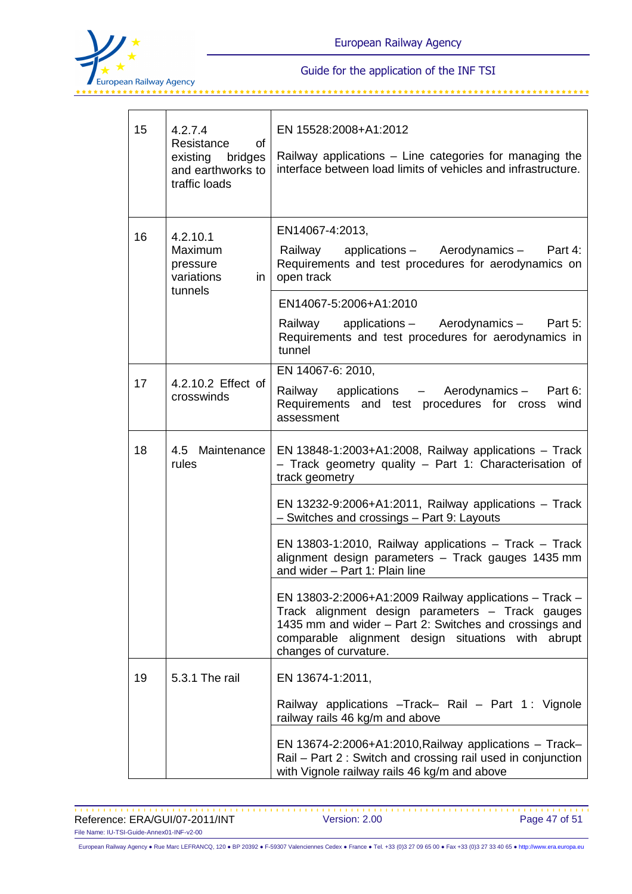

| 15 | 4.2.7.4<br>Resistance<br>0f<br>existing bridges<br>and earthworks to<br>traffic loads                                                                           | EN 15528:2008+A1:2012<br>Railway applications – Line categories for managing the<br>interface between load limits of vehicles and infrastructure.                                                                                                   |  |  |
|----|-----------------------------------------------------------------------------------------------------------------------------------------------------------------|-----------------------------------------------------------------------------------------------------------------------------------------------------------------------------------------------------------------------------------------------------|--|--|
| 16 | 4.2.10.1<br><b>Maximum</b><br>pressure<br>variations<br>in<br>tunnels                                                                                           | EN14067-4:2013,<br>applications - Aerodynamics - Part 4:<br>Railway<br>Requirements and test procedures for aerodynamics on<br>open track                                                                                                           |  |  |
|    |                                                                                                                                                                 | EN14067-5:2006+A1:2010<br>Railway applications - Aerodynamics - Part 5:<br>Requirements and test procedures for aerodynamics in<br>tunnel                                                                                                           |  |  |
| 17 | 4.2.10.2 Effect of<br>crosswinds                                                                                                                                | EN 14067-6: 2010,<br>Railway applications - Aerodynamics - Part 6:<br>Requirements and test procedures for cross<br>wind<br>assessment                                                                                                              |  |  |
| 18 | 4.5 Maintenance<br>EN 13848-1:2003+A1:2008, Railway applications $-$ Track<br>- Track geometry quality - Part 1: Characterisation of<br>rules<br>track geometry |                                                                                                                                                                                                                                                     |  |  |
|    |                                                                                                                                                                 | EN 13232-9:2006+A1:2011, Railway applications $-$ Track<br>- Switches and crossings - Part 9: Layouts                                                                                                                                               |  |  |
|    |                                                                                                                                                                 | EN 13803-1:2010, Railway applications $-$ Track $-$ Track<br>alignment design parameters - Track gauges 1435 mm<br>and wider - Part 1: Plain line                                                                                                   |  |  |
|    |                                                                                                                                                                 | EN 13803-2:2006+A1:2009 Railway applications - Track -<br>Track alignment design parameters - Track gauges<br>1435 mm and wider - Part 2: Switches and crossings and<br>comparable alignment design situations with abrupt<br>changes of curvature. |  |  |
| 19 | 5.3.1 The rail                                                                                                                                                  | EN 13674-1:2011,                                                                                                                                                                                                                                    |  |  |
|    |                                                                                                                                                                 | Railway applications - Track- Rail - Part 1: Vignole<br>railway rails 46 kg/m and above                                                                                                                                                             |  |  |
|    |                                                                                                                                                                 | EN 13674-2:2006+A1:2010, Railway applications $-$ Track-<br>Rail – Part 2: Switch and crossing rail used in conjunction<br>with Vignole railway rails 46 kg/m and above                                                                             |  |  |

Reference: ERA/GUI/07-2011/INT Version: 2.00 Page 47 of 51 File Name: IU-TSI-Guide-Annex01-INF-v2-00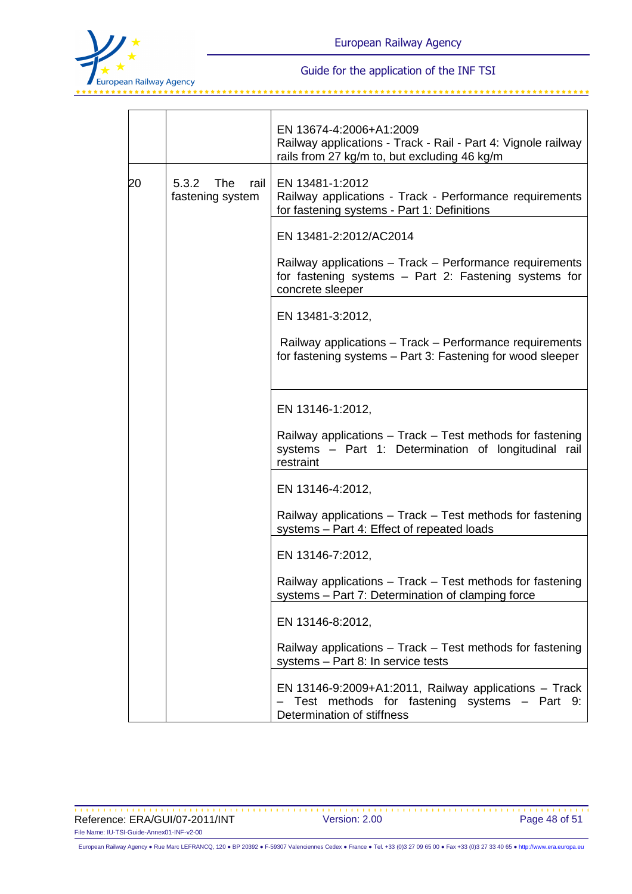

|    |                                          | EN 13674-4:2006+A1:2009<br>Railway applications - Track - Rail - Part 4: Vignole railway<br>rails from 27 kg/m to, but excluding 46 kg/m |
|----|------------------------------------------|------------------------------------------------------------------------------------------------------------------------------------------|
| 20 | 5.3.2<br>The<br>rail<br>fastening system | EN 13481-1:2012<br>Railway applications - Track - Performance requirements<br>for fastening systems - Part 1: Definitions                |
|    |                                          | EN 13481-2:2012/AC2014                                                                                                                   |
|    |                                          | Railway applications - Track - Performance requirements<br>for fastening systems - Part 2: Fastening systems for<br>concrete sleeper     |
|    |                                          | EN 13481-3:2012,                                                                                                                         |
|    |                                          | Railway applications - Track - Performance requirements<br>for fastening systems - Part 3: Fastening for wood sleeper                    |
|    |                                          | EN 13146-1:2012,                                                                                                                         |
|    |                                          | Railway applications - Track - Test methods for fastening<br>systems - Part 1: Determination of longitudinal rail<br>restraint           |
|    |                                          | EN 13146-4:2012,                                                                                                                         |
|    |                                          | Railway applications - Track - Test methods for fastening<br>systems - Part 4: Effect of repeated loads                                  |
|    |                                          | EN 13146-7:2012,                                                                                                                         |
|    |                                          | Railway applications – Track – Test methods for fastening<br>systems - Part 7: Determination of clamping force                           |
|    |                                          | EN 13146-8:2012,                                                                                                                         |
|    |                                          | Railway applications – Track – Test methods for fastening<br>systems - Part 8: In service tests                                          |
|    |                                          | EN 13146-9:2009+A1:2011, Railway applications $-$ Track<br>Test methods for fastening systems - Part 9:<br>Determination of stiffness    |

Reference: ERA/GUI/07-2011/INT Version: 2.00 Page 48 of 51 File Name: IU-TSI-Guide-Annex01-INF-v2-00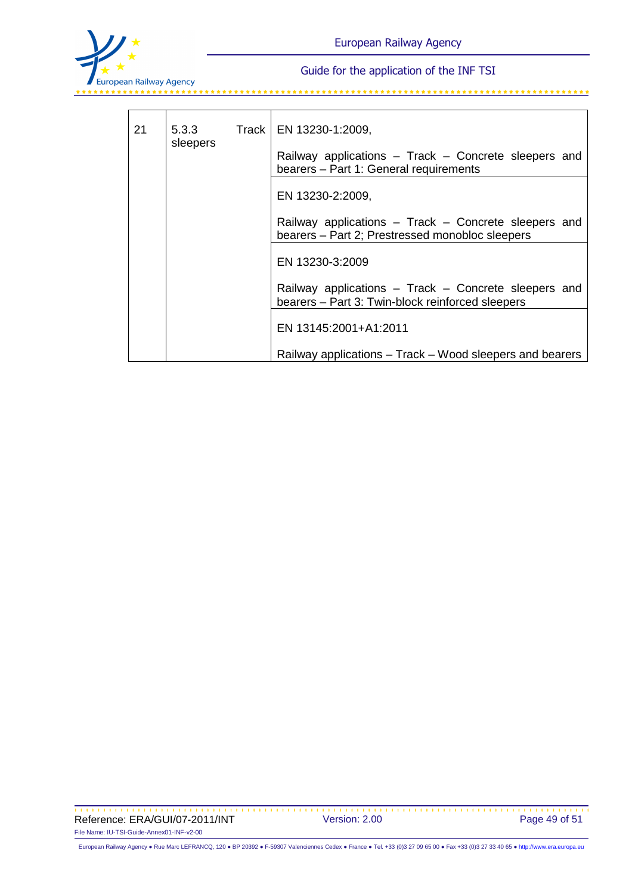

| 21 | 5.3.3<br>sleepers | Track   EN 13230-1:2009,<br>Railway applications - Track - Concrete sleepers and<br>bearers - Part 1: General requirements |
|----|-------------------|----------------------------------------------------------------------------------------------------------------------------|
|    |                   |                                                                                                                            |
|    |                   | EN 13230-2:2009,                                                                                                           |
|    |                   | Railway applications – Track – Concrete sleepers and<br>bearers - Part 2; Prestressed monobloc sleepers                    |
|    |                   | EN 13230-3:2009                                                                                                            |
|    |                   | Railway applications - Track - Concrete sleepers and<br>bearers - Part 3: Twin-block reinforced sleepers                   |
|    |                   | EN 13145:2001+A1:2011                                                                                                      |
|    |                   | Railway applications – Track – Wood sleepers and bearers                                                                   |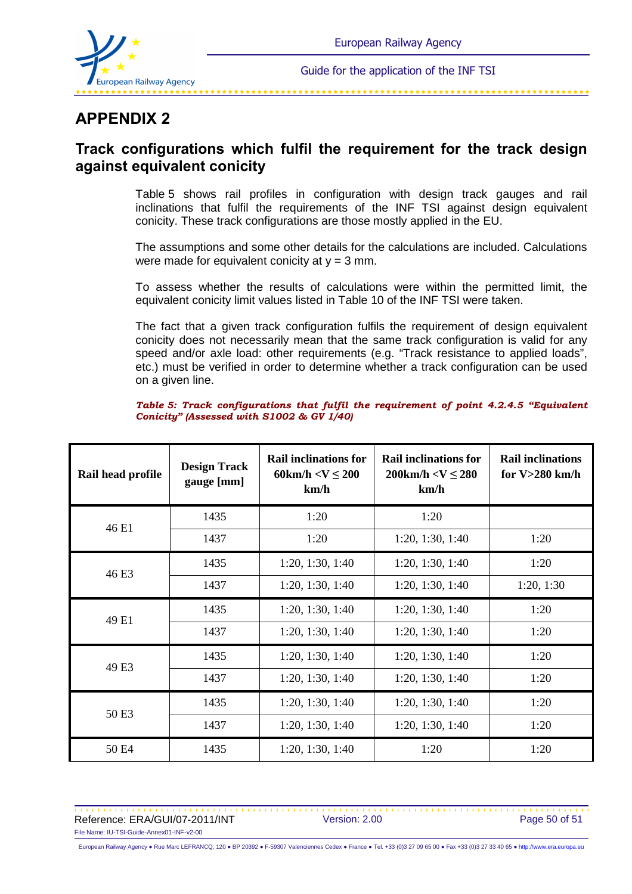

# **APPENDIX 2**

# **Track configurations which fulfil the requirement for the track design against equivalent conicity**

Table 5 shows rail profiles in configuration with design track gauges and rail inclinations that fulfil the requirements of the INF TSI against design equivalent conicity. These track configurations are those mostly applied in the EU.

The assumptions and some other details for the calculations are included. Calculations were made for equivalent conicity at  $y = 3$  mm.

To assess whether the results of calculations were within the permitted limit, the equivalent conicity limit values listed in Table 10 of the INF TSI were taken.

The fact that a given track configuration fulfils the requirement of design equivalent conicity does not necessarily mean that the same track configuration is valid for any speed and/or axle load: other requirements (e.g. "Track resistance to applied loads", etc.) must be verified in order to determine whether a track configuration can be used on a given line.

*Table 5: Track configurations that fulfil the requirement of point 4.2.4.5 "Equivalent Conicity" (Assessed with S1002 & GV 1/40)*

| Rail head profile | <b>Design Track</b><br>gauge [mm] | <b>Rail inclinations for</b><br>60km/h $<$ V $\leq$ 200<br>km/h | <b>Rail inclinations for</b><br>$200 \text{km/h} < V \leq 280$<br>km/h | <b>Rail inclinations</b><br>for $V>280$ km/h |
|-------------------|-----------------------------------|-----------------------------------------------------------------|------------------------------------------------------------------------|----------------------------------------------|
| 46 E1             | 1435                              | 1:20                                                            | 1:20                                                                   |                                              |
|                   | 1437                              | 1:20                                                            | 1:20, 1:30, 1:40                                                       | 1:20                                         |
| 46 E3             | 1435                              | 1:20, 1:30, 1:40                                                | 1:20, 1:30, 1:40                                                       | 1:20                                         |
|                   | 1437                              | 1:20, 1:30, 1:40                                                | 1:20, 1:30, 1:40                                                       | 1:20, 1:30                                   |
| 49 E1             | 1435                              | 1:20, 1:30, 1:40                                                | 1:20, 1:30, 1:40                                                       | 1:20                                         |
|                   | 1437                              | 1:20, 1:30, 1:40                                                | 1:20, 1:30, 1:40                                                       | 1:20                                         |
| 49 E3             | 1435                              | 1:20, 1:30, 1:40                                                | 1:20, 1:30, 1:40                                                       | 1:20                                         |
|                   | 1437                              | 1:20, 1:30, 1:40                                                | 1:20, 1:30, 1:40                                                       | 1:20                                         |
| 50 E3             | 1435                              | 1:20, 1:30, 1:40                                                | 1:20, 1:30, 1:40                                                       | 1:20                                         |
|                   | 1437                              | 1:20, 1:30, 1:40                                                | 1:20, 1:30, 1:40                                                       | 1:20                                         |
| 50 E4             | 1435                              | 1:20, 1:30, 1:40                                                | 1:20                                                                   | 1:20                                         |

Reference: ERA/GUI/07-2011/INT Version: 2.00 Page 50 of 51 File Name: IU-TSI-Guide-Annex01-INF-v2-00